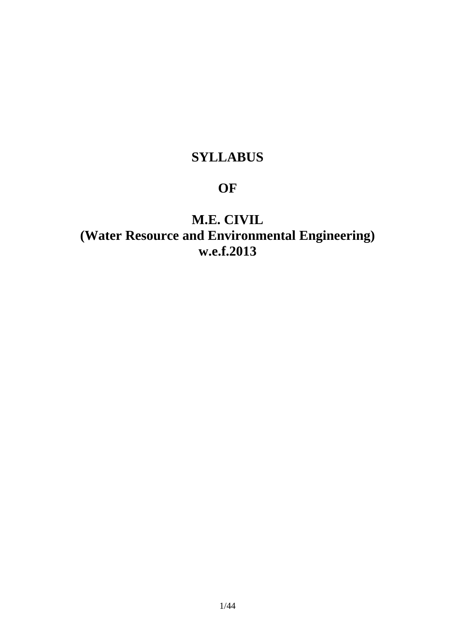# **SYLLABUS**

# **OF**

# **M.E. CIVIL (Water Resource and Environmental Engineering) w.e.f.2013**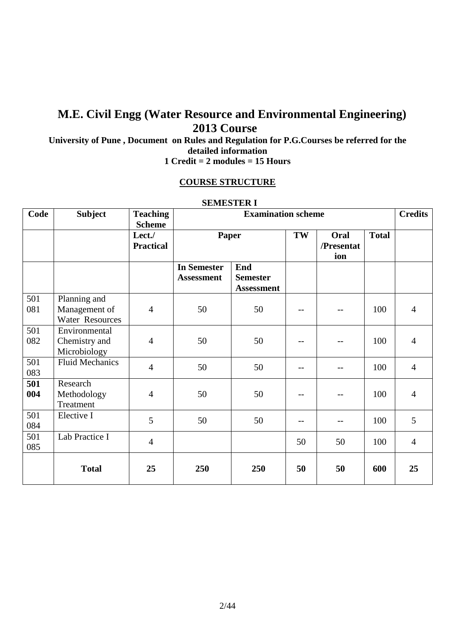# **M.E. Civil Engg (Water Resource and Environmental Engineering) 2013 Course**

**University of Pune , Document on Rules and Regulation for P.G.Courses be referred for the detailed information** 

# **1 Credit = 2 modules = 15 Hours**

# **COURSE STRUCTURE**

| <b>SEMESTER I</b> |                                                         |                                  |                                         |                                             |     |                           |              |                |
|-------------------|---------------------------------------------------------|----------------------------------|-----------------------------------------|---------------------------------------------|-----|---------------------------|--------------|----------------|
| Code              | <b>Subject</b>                                          | <b>Teaching</b><br><b>Scheme</b> |                                         | <b>Examination scheme</b>                   |     |                           |              | <b>Credits</b> |
|                   |                                                         | Lect./<br><b>Practical</b>       | Paper                                   |                                             | TW  | Oral<br>/Presentat<br>ion | <b>Total</b> |                |
|                   |                                                         |                                  | <b>In Semester</b><br><b>Assessment</b> | End<br><b>Semester</b><br><b>Assessment</b> |     |                           |              |                |
| 501<br>081        | Planning and<br>Management of<br><b>Water Resources</b> | $\overline{4}$                   | 50                                      | 50                                          |     |                           | 100          | $\overline{4}$ |
| 501<br>082        | Environmental<br>Chemistry and<br>Microbiology          | 4                                | 50                                      | 50                                          |     |                           | 100          | $\overline{4}$ |
| 501<br>083        | <b>Fluid Mechanics</b>                                  | $\overline{4}$                   | 50                                      | 50                                          | $-$ |                           | 100          | $\overline{4}$ |
| 501<br>004        | Research<br>Methodology<br>Treatment                    | $\overline{4}$                   | 50                                      | 50                                          |     |                           | 100          | $\overline{4}$ |
| 501<br>084        | Elective I                                              | 5                                | 50                                      | 50                                          | $-$ |                           | 100          | 5              |
| 501<br>085        | Lab Practice I                                          | $\overline{4}$                   |                                         |                                             | 50  | 50                        | 100          | $\overline{4}$ |
|                   | <b>Total</b>                                            | 25                               | 250                                     | 250                                         | 50  | 50                        | 600          | 25             |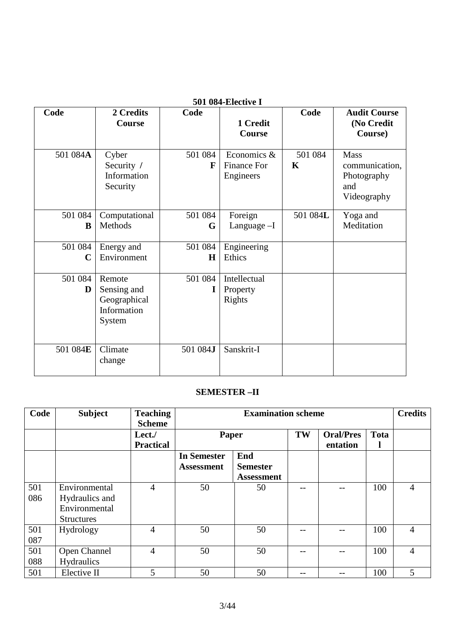|             |                     |          | <b>501 084-Elective 1</b> |          |                                   |
|-------------|---------------------|----------|---------------------------|----------|-----------------------------------|
| Code        | 2 Credits<br>Course | Code     | 1 Credit                  | Code     | <b>Audit Course</b><br>(No Credit |
|             |                     |          | <b>Course</b>             |          | Course)                           |
| 501 084A    | Cyber               | 501 084  | Economics &               | 501 084  | Mass                              |
|             | Security /          | F        | Finance For               | K        | communication,                    |
|             | Information         |          | Engineers                 |          | Photography                       |
|             | Security            |          |                           |          | and                               |
|             |                     |          |                           |          | Videography                       |
| 501 084     | Computational       | 501 084  | Foreign                   | 501 084L | Yoga and                          |
| B           | Methods             | G        | Language -I               |          | Meditation                        |
|             |                     |          |                           |          |                                   |
| 501 084     | Energy and          | 501 084  | Engineering               |          |                                   |
| $\mathbf C$ | Environment         | $\bf H$  | Ethics                    |          |                                   |
| 501 084     | Remote              | 501 084  | Intellectual              |          |                                   |
| D           | Sensing and         | I        | Property                  |          |                                   |
|             | Geographical        |          | Rights                    |          |                                   |
|             | Information         |          |                           |          |                                   |
|             | System              |          |                           |          |                                   |
|             |                     |          |                           |          |                                   |
| 501 084E    | Climate             | 501 084J | Sanskrit-I                |          |                                   |
|             | change              |          |                           |          |                                   |
|             |                     |          |                           |          |                                   |

# **501 084-Elective I**

# **SEMESTER –II**

| Code       | <b>Subject</b>                                                        | <b>Teaching</b><br><b>Scheme</b> |                                  | <b>Examination scheme</b>                   |    |                              |      |                |  |
|------------|-----------------------------------------------------------------------|----------------------------------|----------------------------------|---------------------------------------------|----|------------------------------|------|----------------|--|
|            |                                                                       | Lect./<br><b>Practical</b>       | Paper                            |                                             | TW | <b>Oral/Pres</b><br>entation | Tota |                |  |
|            |                                                                       |                                  | <b>In Semester</b><br>Assessment | End<br><b>Semester</b><br><b>Assessment</b> |    |                              |      |                |  |
| 501<br>086 | Environmental<br>Hydraulics and<br>Environmental<br><b>Structures</b> | $\overline{4}$                   | 50                               | 50                                          |    |                              | 100  | $\overline{4}$ |  |
| 501<br>087 | Hydrology                                                             | $\overline{4}$                   | 50                               | 50                                          |    |                              | 100  | $\overline{4}$ |  |
| 501<br>088 | <b>Open Channel</b><br>Hydraulics                                     | $\overline{4}$                   | 50                               | 50                                          |    |                              | 100  | $\overline{4}$ |  |
| 501        | Elective II                                                           | 5                                | 50                               | 50                                          |    |                              | 100  | 5              |  |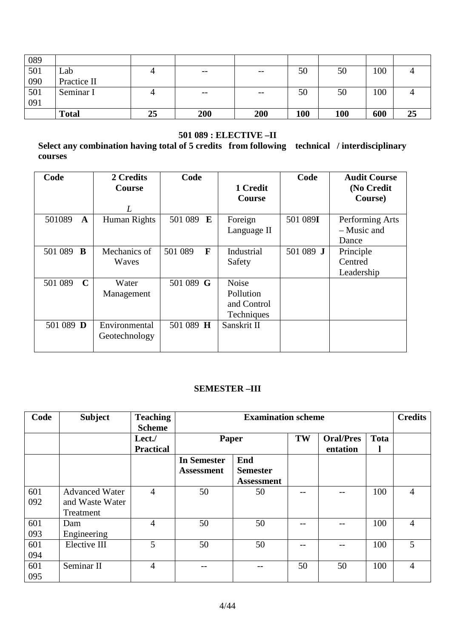| 089 |              |    |       |       |     |     |     |    |
|-----|--------------|----|-------|-------|-----|-----|-----|----|
| 501 | Lab          |    | $- -$ | $- -$ | 50  | 50  | 100 |    |
| 090 | Practice II  |    |       |       |     |     |     |    |
| 501 | Seminar I    |    | $- -$ | $- -$ | 50  | 50  | 100 |    |
| 091 |              |    |       |       |     |     |     |    |
|     | <b>Total</b> | 25 | 200   | 200   | 100 | 100 | 600 | 25 |

#### **501 089 : ELECTIVE –II**

**Select any combination having total of 5 credits from following technical / interdisciplinary courses** 

| Code                    | 2 Credits<br><b>Course</b><br>L | Code                    | 1 Credit<br><b>Course</b>                              | Code      | <b>Audit Course</b><br>(No Credit<br>Course) |
|-------------------------|---------------------------------|-------------------------|--------------------------------------------------------|-----------|----------------------------------------------|
| 501089<br>A             | Human Rights                    | 501 089 E               | Foreign<br>Language II                                 | 501 089I  | Performing Arts<br>- Music and<br>Dance      |
| 501 089<br>$\mathbf{B}$ | Mechanics of<br>Waves           | $\mathbf{F}$<br>501 089 | Industrial<br>Safety                                   | 501 089 J | Principle<br>Centred<br>Leadership           |
| $\mathbf C$<br>501 089  | Water<br>Management             | 501 089 G               | <b>Noise</b><br>Pollution<br>and Control<br>Techniques |           |                                              |
| 501 089 D               | Environmental<br>Geotechnology  | 501 089 H               | Sanskrit II                                            |           |                                              |

# **SEMESTER –III**

| Code       | <b>Subject</b>                                        | <b>Teaching</b><br><b>Scheme</b> | <b>Examination scheme</b>               |                                             |    |                              |      | <b>Credits</b> |
|------------|-------------------------------------------------------|----------------------------------|-----------------------------------------|---------------------------------------------|----|------------------------------|------|----------------|
|            |                                                       | Lect./<br><b>Practical</b>       | Paper                                   |                                             | TW | <b>Oral/Pres</b><br>entation | Tota |                |
|            |                                                       |                                  | <b>In Semester</b><br><b>Assessment</b> | End<br><b>Semester</b><br><b>Assessment</b> |    |                              |      |                |
| 601<br>092 | <b>Advanced Water</b><br>and Waste Water<br>Treatment | $\overline{4}$                   | 50                                      | 50                                          |    |                              | 100  | $\overline{4}$ |
| 601<br>093 | Dam<br>Engineering                                    | 4                                | 50                                      | 50                                          |    | $- -$                        | 100  | 4              |
| 601<br>094 | Elective III                                          | 5                                | 50                                      | 50                                          |    | $- -$                        | 100  | 5              |
| 601<br>095 | Seminar II                                            | $\overline{4}$                   |                                         |                                             | 50 | 50                           | 100  | $\overline{4}$ |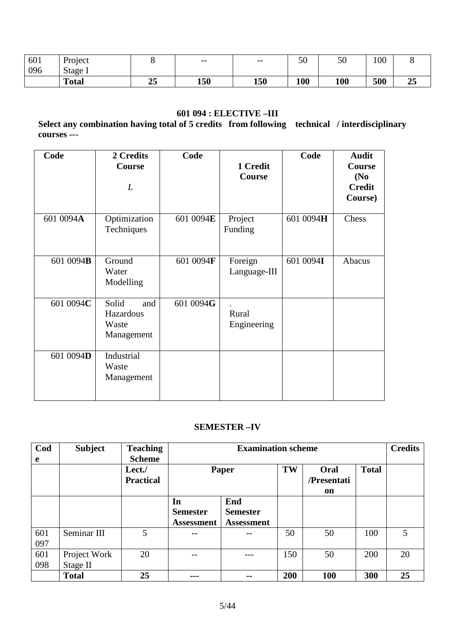| 601 | Project      |          | $- -$ | $- -$ | $\sim$<br>ΟU | 50  | 100 |                      |
|-----|--------------|----------|-------|-------|--------------|-----|-----|----------------------|
| 096 | Stage I      |          |       |       |              |     |     |                      |
|     | <b>Total</b> | ∼~<br>∠⊾ | 150   | 150   | 100          | 100 | 500 | $\sim$ $\sim$<br>້⊿J |

# **601 094 : ELECTIVE –III**

**Select any combination having total of 5 credits from following technical / interdisciplinary courses ---** 

| Code              | 2 Credits<br>Course<br>L                         | Code      | 1 Credit<br><b>Course</b> | Code      | <b>Audit</b><br><b>Course</b><br>(N <sub>0</sub> )<br><b>Credit</b><br>Course) |
|-------------------|--------------------------------------------------|-----------|---------------------------|-----------|--------------------------------------------------------------------------------|
| 601 0094A         | Optimization<br>Techniques                       | 601 0094E | Project<br>Funding        | 601 0094H | Chess                                                                          |
| 601 0094 <b>B</b> | Ground<br>Water<br>Modelling                     | 601 0094F | Foreign<br>Language-III   | 601 0094I | Abacus                                                                         |
| 601 0094C         | Solid<br>and<br>Hazardous<br>Waste<br>Management | 601 0094G | Rural<br>Engineering      |           |                                                                                |
| 601 0094D         | Industrial<br>Waste<br>Management                |           |                           |           |                                                                                |

#### **SEMESTER –IV**

| Cod<br>e | <b>Subject</b> | <b>Teaching</b><br><b>Scheme</b> |                   | <b>Examination scheme</b> |     |                     |              |    |  |
|----------|----------------|----------------------------------|-------------------|---------------------------|-----|---------------------|--------------|----|--|
|          |                | Lect./<br><b>Practical</b>       | <b>Paper</b>      |                           | TW  | Oral<br>/Presentati | <b>Total</b> |    |  |
|          |                |                                  |                   |                           |     | on                  |              |    |  |
|          |                |                                  | In                | End                       |     |                     |              |    |  |
|          |                |                                  | <b>Semester</b>   | <b>Semester</b>           |     |                     |              |    |  |
|          |                |                                  | <b>Assessment</b> | <b>Assessment</b>         |     |                     |              |    |  |
| 601      | Seminar III    | 5                                | --                |                           | 50  | 50                  | 100          | 5  |  |
| 097      |                |                                  |                   |                           |     |                     |              |    |  |
| 601      | Project Work   | 20                               |                   |                           | 150 | 50                  | 200          | 20 |  |
| 098      | Stage II       |                                  |                   |                           |     |                     |              |    |  |
|          | <b>Total</b>   | 25                               |                   | --                        | 200 | 100                 | 300          | 25 |  |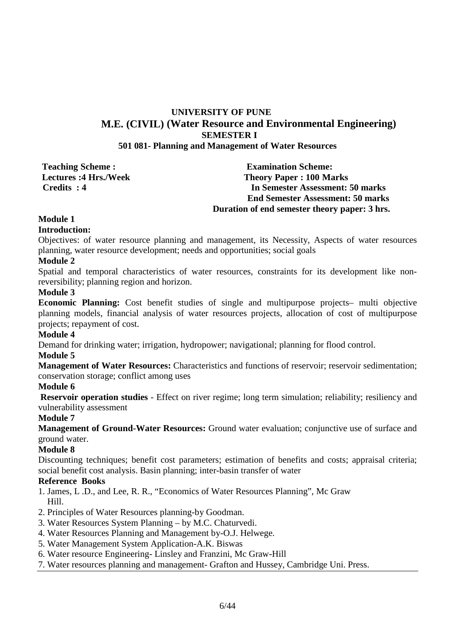# **UNIVERSITY OF PUNE M.E. (CIVIL) (Water Resource and Environmental Engineering) SEMESTER I 501 081- Planning and Management of Water Resources**

**Teaching Scheme : Examination Scheme: Lectures :4 Hrs./Week Theory Paper : 100 Marks Credits : 4 In Semester Assessment: 50 marks End Semester Assessment: 50 marks Duration of end semester theory paper: 3 hrs.** 

## **Module 1**

#### **Introduction:**

Objectives: of water resource planning and management, its Necessity, Aspects of water resources planning, water resource development; needs and opportunities; social goals

#### **Module 2**

Spatial and temporal characteristics of water resources, constraints for its development like nonreversibility; planning region and horizon.

#### **Module 3**

**Economic Planning:** Cost benefit studies of single and multipurpose projects– multi objective planning models, financial analysis of water resources projects, allocation of cost of multipurpose projects; repayment of cost.

#### **Module 4**

Demand for drinking water; irrigation, hydropower; navigational; planning for flood control.

#### **Module 5**

**Management of Water Resources:** Characteristics and functions of reservoir; reservoir sedimentation; conservation storage; conflict among uses

#### **Module 6**

**Reservoir operation studies** - Effect on river regime; long term simulation; reliability; resiliency and vulnerability assessment

#### **Module 7**

**Management of Ground-Water Resources:** Ground water evaluation; conjunctive use of surface and ground water.

#### **Module 8**

Discounting techniques; benefit cost parameters; estimation of benefits and costs; appraisal criteria; social benefit cost analysis. Basin planning; inter-basin transfer of water

#### **Reference Books**

- 1. James, L .D., and Lee, R. R., "Economics of Water Resources Planning", Mc Graw Hill.
- 2. Principles of Water Resources planning-by Goodman.
- 3. Water Resources System Planning by M.C. Chaturvedi.
- 4. Water Resources Planning and Management by-O.J. Helwege.
- 5. Water Management System Application-A.K. Biswas
- 6. Water resource Engineering- Linsley and Franzini, Mc Graw-Hill
- 7. Water resources planning and management- Grafton and Hussey, Cambridge Uni. Press.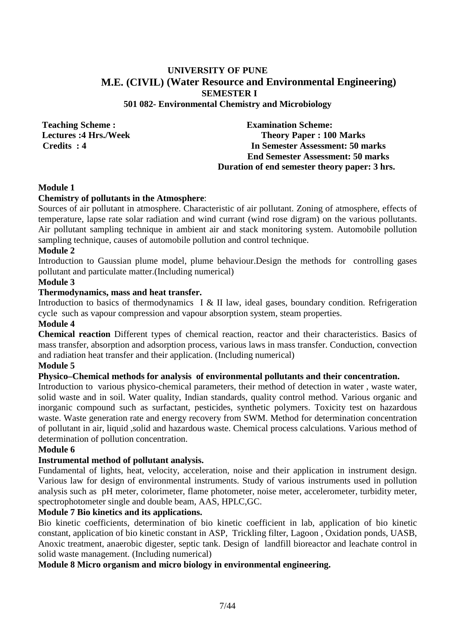# **UNIVERSITY OF PUNE M.E. (CIVIL) (Water Resource and Environmental Engineering) SEMESTER I**

#### **501 082- Environmental Chemistry and Microbiology**

**Teaching Scheme : Examination Scheme: Lectures :4 Hrs./Week Theory Paper : 100 Marks Credits : 4 In Semester Assessment: 50 marks End Semester Assessment: 50 marks Duration of end semester theory paper: 3 hrs.** 

## **Module 1**

#### **Chemistry of pollutants in the Atmosphere**:

Sources of air pollutant in atmosphere. Characteristic of air pollutant. Zoning of atmosphere, effects of temperature, lapse rate solar radiation and wind currant (wind rose digram) on the various pollutants. Air pollutant sampling technique in ambient air and stack monitoring system. Automobile pollution sampling technique, causes of automobile pollution and control technique.

#### **Module 2**

Introduction to Gaussian plume model, plume behaviour.Design the methods for controlling gases pollutant and particulate matter.(Including numerical)

#### **Module 3**

#### **Thermodynamics, mass and heat transfer.**

Introduction to basics of thermodynamics I & II law, ideal gases, boundary condition. Refrigeration cycle such as vapour compression and vapour absorption system, steam properties.

#### **Module 4**

**Chemical reaction** Different types of chemical reaction, reactor and their characteristics. Basics of mass transfer, absorption and adsorption process, various laws in mass transfer. Conduction, convection and radiation heat transfer and their application. (Including numerical)

#### **Module 5**

#### **Physico–Chemical methods for analysis of environmental pollutants and their concentration.**

Introduction to various physico-chemical parameters, their method of detection in water , waste water, solid waste and in soil. Water quality, Indian standards, quality control method. Various organic and inorganic compound such as surfactant, pesticides, synthetic polymers. Toxicity test on hazardous waste. Waste generation rate and energy recovery from SWM. Method for determination concentration of pollutant in air, liquid ,solid and hazardous waste. Chemical process calculations. Various method of determination of pollution concentration.

#### **Module 6**

#### **Instrumental method of pollutant analysis.**

Fundamental of lights, heat, velocity, acceleration, noise and their application in instrument design. Various law for design of environmental instruments. Study of various instruments used in pollution analysis such as pH meter, colorimeter, flame photometer, noise meter, accelerometer, turbidity meter, spectrophotometer single and double beam, AAS, HPLC,GC.

#### **Module 7 Bio kinetics and its applications.**

Bio kinetic coefficients, determination of bio kinetic coefficient in lab, application of bio kinetic constant, application of bio kinetic constant in ASP, Trickling filter, Lagoon , Oxidation ponds, UASB, Anoxic treatment, anaerobic digester, septic tank. Design of landfill bioreactor and leachate control in solid waste management. (Including numerical)

#### **Module 8 Micro organism and micro biology in environmental engineering.**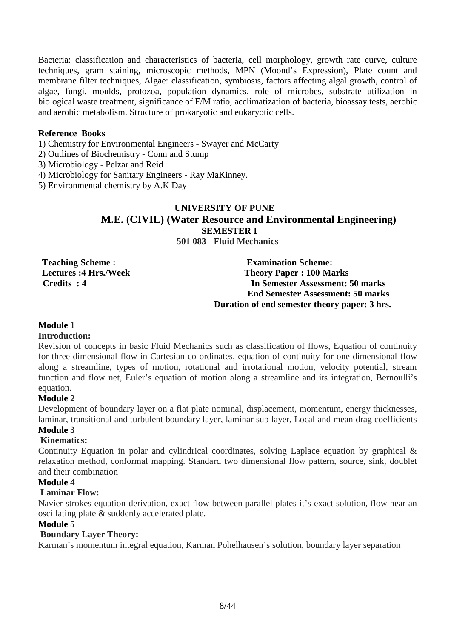Bacteria: classification and characteristics of bacteria, cell morphology, growth rate curve, culture techniques, gram staining, microscopic methods, MPN (Moond's Expression), Plate count and membrane filter techniques, Algae: classification, symbiosis, factors affecting algal growth, control of algae, fungi, moulds, protozoa, population dynamics, role of microbes, substrate utilization in biological waste treatment, significance of F/M ratio, acclimatization of bacteria, bioassay tests, aerobic and aerobic metabolism. Structure of prokaryotic and eukaryotic cells.

#### **Reference Books**

- 1) Chemistry for Environmental Engineers Swayer and McCarty
- 2) Outlines of Biochemistry Conn and Stump

3) Microbiology - Pelzar and Reid

- 4) Microbiology for Sanitary Engineers Ray MaKinney.
- 5) Environmental chemistry by A.K Day

## **UNIVERSITY OF PUNE M.E. (CIVIL) (Water Resource and Environmental Engineering) SEMESTER I 501 083 - Fluid Mechanics**

**Teaching Scheme : Examination Scheme: Lectures :4 Hrs./Week Theory Paper : 100 Marks Credits : 4 In Semester Assessment: 50 marks End Semester Assessment: 50 marks Duration of end semester theory paper: 3 hrs.** 

## **Module 1**

#### **Introduction:**

Revision of concepts in basic Fluid Mechanics such as classification of flows, Equation of continuity for three dimensional flow in Cartesian co-ordinates, equation of continuity for one-dimensional flow along a streamline, types of motion, rotational and irrotational motion, velocity potential, stream function and flow net, Euler's equation of motion along a streamline and its integration, Bernoulli's equation.

## **Module 2**

Development of boundary layer on a flat plate nominal, displacement, momentum, energy thicknesses, laminar, transitional and turbulent boundary layer, laminar sub layer, Local and mean drag coefficients

# **Module 3**

#### **Kinematics:**

Continuity Equation in polar and cylindrical coordinates, solving Laplace equation by graphical & relaxation method, conformal mapping. Standard two dimensional flow pattern, source, sink, doublet and their combination

## **Module 4**

#### **Laminar Flow:**

Navier strokes equation-derivation, exact flow between parallel plates-it's exact solution, flow near an oscillating plate & suddenly accelerated plate.

#### **Module 5**

## **Boundary Layer Theory:**

Karman's momentum integral equation, Karman Pohelhausen's solution, boundary layer separation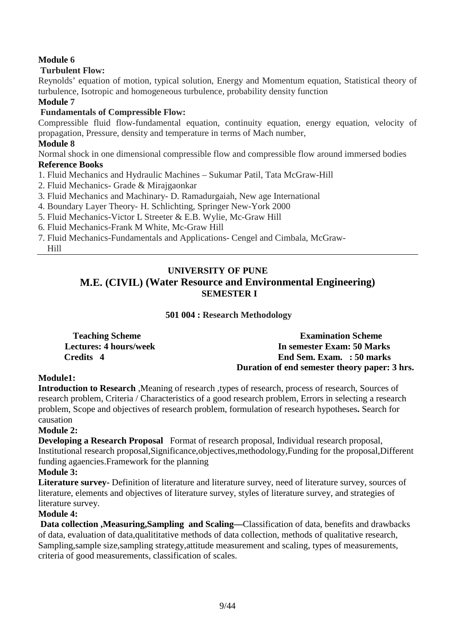# **Module 6**

# **Turbulent Flow:**

Reynolds' equation of motion, typical solution, Energy and Momentum equation, Statistical theory of turbulence, Isotropic and homogeneous turbulence, probability density function

# **Module 7**

# **Fundamentals of Compressible Flow:**

Compressible fluid flow-fundamental equation, continuity equation, energy equation, velocity of propagation, Pressure, density and temperature in terms of Mach number,

# **Module 8**

Normal shock in one dimensional compressible flow and compressible flow around immersed bodies **Reference Books** 

- 1. Fluid Mechanics and Hydraulic Machines Sukumar Patil, Tata McGraw-Hill
- 2. Fluid Mechanics- Grade & Mirajgaonkar
- 3. Fluid Mechanics and Machinary- D. Ramadurgaiah, New age International
- 4. Boundary Layer Theory- H. Schlichting, Springer New-York 2000
- 5. Fluid Mechanics-Victor L Streeter & E.B. Wylie, Mc-Graw Hill
- 6. Fluid Mechanics-Frank M White, Mc-Graw Hill
- 7. Fluid Mechanics-Fundamentals and Applications- Cengel and Cimbala, McGraw- Hill

# **UNIVERSITY OF PUNE M.E. (CIVIL) (Water Resource and Environmental Engineering) SEMESTER I**

 **501 004 : Research Methodology**

**Teaching Scheme Examination Scheme Lectures: 4 hours/week In semester Exam: 50 Marks Credits 4 End Sem. Exam. : 50 marks Duration of end semester theory paper: 3 hrs.** 

# **Module1:**

**Introduction to Research** ,Meaning of research ,types of research, process of research, Sources of research problem, Criteria / Characteristics of a good research problem, Errors in selecting a research problem, Scope and objectives of research problem, formulation of research hypotheses**.** Search for causation

## **Module 2:**

**Developing a Research Proposal** Format of research proposal, Individual research proposal, Institutional research proposal,Significance,objectives,methodology,Funding for the proposal,Different funding agaencies.Framework for the planning

## **Module 3:**

**Literature survey-** Definition of literature and literature survey, need of literature survey, sources of literature, elements and objectives of literature survey, styles of literature survey, and strategies of literature survey.

## **Module 4:**

 **Data collection ,Measuring,Sampling and Scaling—**Classification of data, benefits and drawbacks of data, evaluation of data,qualititative methods of data collection, methods of qualitative research, Sampling,sample size,sampling strategy,attitude measurement and scaling, types of measurements, criteria of good measurements, classification of scales.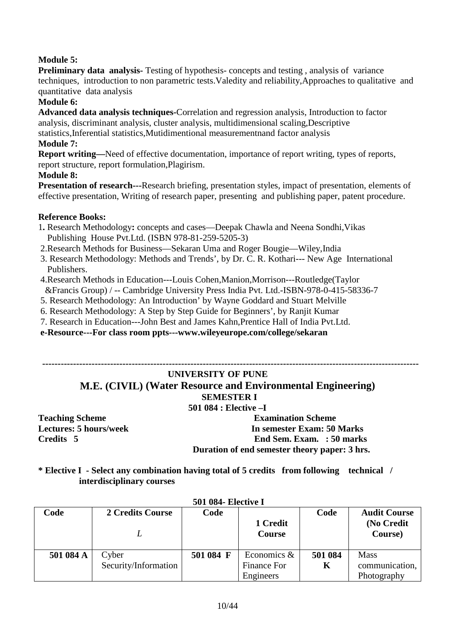# **Module 5:**

**Preliminary data analysis-** Testing of hypothesis- concepts and testing , analysis of variance techniques, introduction to non parametric tests.Valedity and reliability,Approaches to qualitative and quantitative data analysis

#### **Module 6:**

**Advanced data analysis techniques-**Correlation and regression analysis, Introduction to factor analysis, discriminant analysis, cluster analysis, multidimensional scaling,Descriptive statistics,Inferential statistics,Mutidimentional measurementnand factor analysis

#### **Module 7:**

**Report writing—**Need of effective documentation, importance of report writing, types of reports, report structure, report formulation,Plagirism.

#### **Module 8:**

**Presentation of research---**Research briefing, presentation styles, impact of presentation, elements of effective presentation, Writing of research paper, presenting and publishing paper, patent procedure.

#### **Reference Books:**

- 1**.** Research Methodology**:** concepts and cases—Deepak Chawla and Neena Sondhi,Vikas Publishing House Pvt.Ltd. (ISBN 978-81-259-5205-3)
- 2.Research Methods for Business—Sekaran Uma and Roger Bougie—Wiley,India
- 3. Research Methodology: Methods and Trends', by Dr. C. R. Kothari--- New Age International Publishers.
- 4.Research Methods in Education---Louis Cohen,Manion,Morrison---Routledge(Taylor &Francis Group) / -- Cambridge University Press India Pvt. Ltd.-ISBN-978-0-415-58336-7
- 5. Research Methodology: An Introduction' by Wayne Goddard and Stuart Melville
- 6. Research Methodology: A Step by Step Guide for Beginners', by Ranjit Kumar
- 7. Research in Education---John Best and James Kahn,Prentice Hall of India Pvt.Ltd.

**e-Resource---For class room ppts---www.wileyeurope.com/college/sekaran** 

# **-------------------------------------------------------------------------------------------------------------------------- UNIVERSITY OF PUNE**

#### **M.E. (CIVIL) (Water Resource and Environmental Engineering) SEMESTER I**

# **501 084 : Elective –I**

**Teaching Scheme Examination Scheme Lectures: 5 hours/week In semester Exam: 50 Marks Credits 5 End Sem. Exam. : 50 marks Duration of end semester theory paper: 3 hrs.** 

**\* Elective I - Select any combination having total of 5 credits from following technical / interdisciplinary courses**

| Code      | 2 Credits Course              | Code      | 1 Credit<br><b>Course</b>               | Code         | <b>Audit Course</b><br>(No Credit<br>Course) |
|-----------|-------------------------------|-----------|-----------------------------------------|--------------|----------------------------------------------|
| 501 084 A | Cyber<br>Security/Information | 501 084 F | Economics &<br>Finance For<br>Engineers | 501 084<br>K | <b>Mass</b><br>communication,<br>Photography |

#### **501 084- Elective I**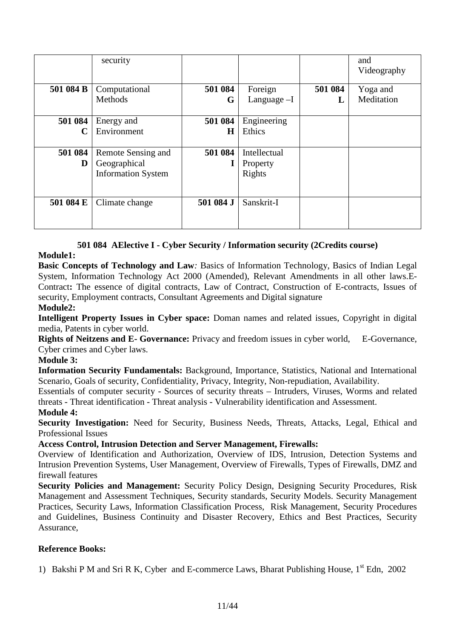|           | security                  |           |              |         | and<br>Videography |
|-----------|---------------------------|-----------|--------------|---------|--------------------|
| 501 084 B | Computational             | 501 084   | Foreign      | 501 084 | Yoga and           |
|           | Methods                   | G         | Language -I  |         | Meditation         |
| 501 084   | Energy and                | 501 084   | Engineering  |         |                    |
| C         | Environment               | Н         | Ethics       |         |                    |
| 501 084   | Remote Sensing and        | 501 084   | Intellectual |         |                    |
| D         | Geographical              |           | Property     |         |                    |
|           | <b>Information System</b> |           | Rights       |         |                    |
| 501 084 E | Climate change            | 501 084 J | Sanskrit-I   |         |                    |

# **501 084 AElective I - Cyber Security / Information security (2Credits course)**

#### **Module1:**

**Basic Concepts of Technology and Law***:* Basics of Information Technology, Basics of Indian Legal System, Information Technology Act 2000 (Amended), Relevant Amendments in all other laws.E-Contract**:** The essence of digital contracts, Law of Contract, Construction of E-contracts, Issues of security, Employment contracts, Consultant Agreements and Digital signature

#### **Module2:**

**Intelligent Property Issues in Cyber space:** Doman names and related issues, Copyright in digital media, Patents in cyber world.

**Rights of Neitzens and E- Governance:** Privacy and freedom issues in cyber world, E-Governance, Cyber crimes and Cyber laws.

#### **Module 3:**

**Information Security Fundamentals:** Background, Importance, Statistics, National and International Scenario, Goals of security, Confidentiality, Privacy, Integrity, Non-repudiation, Availability.

Essentials of computer security - Sources of security threats – Intruders, Viruses, Worms and related threats - Threat identification - Threat analysis - Vulnerability identification and Assessment.

#### **Module 4:**

**Security Investigation:** Need for Security, Business Needs, Threats, Attacks, Legal, Ethical and Professional Issues

**Access Control, Intrusion Detection and Server Management, Firewalls:** 

Overview of Identification and Authorization, Overview of IDS, Intrusion, Detection Systems and Intrusion Prevention Systems, User Management, Overview of Firewalls, Types of Firewalls, DMZ and firewall features

**Security Policies and Management:** Security Policy Design, Designing Security Procedures, Risk Management and Assessment Techniques, Security standards, Security Models. Security Management Practices, Security Laws, Information Classification Process, Risk Management, Security Procedures and Guidelines, Business Continuity and Disaster Recovery, Ethics and Best Practices, Security Assurance,

# **Reference Books:**

1) Bakshi P M and Sri R K, Cyber and E-commerce Laws, Bharat Publishing House,  $1<sup>st</sup>$  Edn, 2002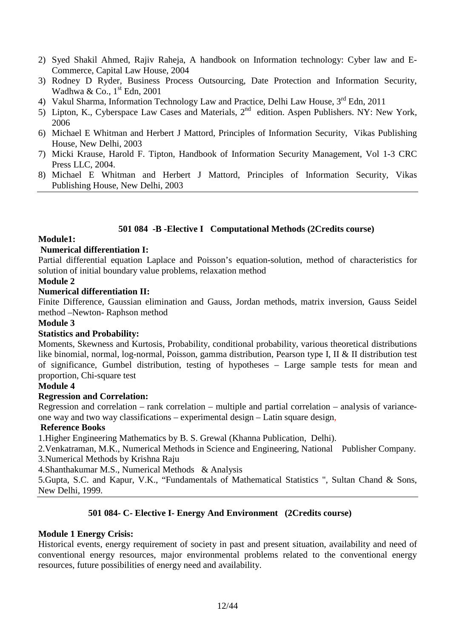- 2) Syed Shakil Ahmed, Rajiv Raheja, A handbook on Information technology: Cyber law and E-Commerce, Capital Law House, 2004
- 3) Rodney D Ryder, Business Process Outsourcing, Date Protection and Information Security, Wadhwa & Co.,  $1<sup>st</sup>$  Edn, 2001
- 4) Vakul Sharma, Information Technology Law and Practice, Delhi Law House, 3<sup>rd</sup> Edn, 2011
- $5)$  Lipton, K., Cyberspace Law Cases and Materials,  $2<sup>nd</sup>$  edition. Aspen Publishers. NY: New York, 2006
- 6) Michael E Whitman and Herbert J Mattord, Principles of Information Security, Vikas Publishing House, New Delhi, 2003
- 7) Micki Krause, Harold F. Tipton, Handbook of Information Security Management, Vol 1-3 CRC Press LLC, 2004.
- 8) Michael E Whitman and Herbert J Mattord, Principles of Information Security, Vikas Publishing House, New Delhi, 2003

#### **501 084 -B -Elective I Computational Methods (2Credits course)**

#### **Module1:**

#### **Numerical differentiation I:**

Partial differential equation Laplace and Poisson's equation-solution, method of characteristics for solution of initial boundary value problems, relaxation method

#### **Module 2**

#### **Numerical differentiation II:**

Finite Difference, Gaussian elimination and Gauss, Jordan methods, matrix inversion, Gauss Seidel method –Newton- Raphson method

#### **Module 3**

#### **Statistics and Probability:**

Moments, Skewness and Kurtosis, Probability, conditional probability, various theoretical distributions like binomial, normal, log-normal, Poisson, gamma distribution, Pearson type I, II & II distribution test of significance, Gumbel distribution, testing of hypotheses – Large sample tests for mean and proportion, Chi-square test

#### **Module 4**

#### **Regression and Correlation:**

Regression and correlation – rank correlation – multiple and partial correlation – analysis of varianceone way and two way classifications – experimental design – Latin square design,

#### **Reference Books**

1.Higher Engineering Mathematics by B. S. Grewal (Khanna Publication, Delhi).

2.Venkatraman, M.K., Numerical Methods in Science and Engineering, National Publisher Company. 3.Numerical Methods by Krishna Raju

4.Shanthakumar M.S., Numerical Methods & Analysis

5.Gupta, S.C. and Kapur, V.K., "Fundamentals of Mathematical Statistics ", Sultan Chand & Sons, New Delhi, 1999.

#### **501 084- C- Elective I- Energy And Environment (2Credits course)**

#### **Module 1 Energy Crisis:**

Historical events, energy requirement of society in past and present situation, availability and need of conventional energy resources, major environmental problems related to the conventional energy resources, future possibilities of energy need and availability.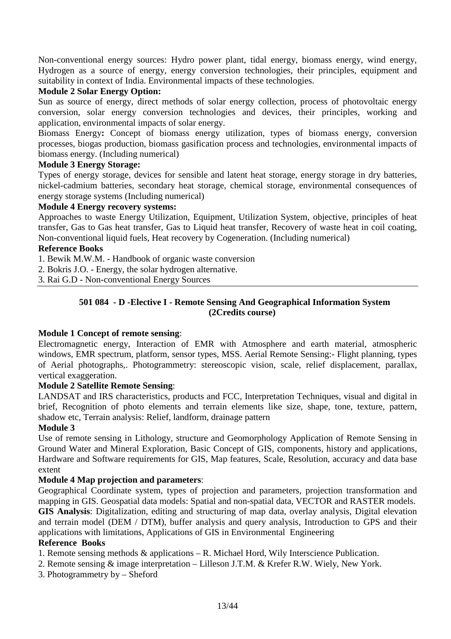Non-conventional energy sources: Hydro power plant, tidal energy, biomass energy, wind energy, Hydrogen as a source of energy, energy conversion technologies, their principles, equipment and suitability in context of India. Environmental impacts of these technologies.

#### **Module 2 Solar Energy Option:**

Sun as source of energy, direct methods of solar energy collection, process of photovoltaic energy conversion, solar energy conversion technologies and devices, their principles, working and application, environmental impacts of solar energy.

Biomass Energy**:** Concept of biomass energy utilization, types of biomass energy, conversion processes, biogas production, biomass gasification process and technologies, environmental impacts of biomass energy. (Including numerical)

#### **Module 3 Energy Storage:**

Types of energy storage, devices for sensible and latent heat storage, energy storage in dry batteries, nickel-cadmium batteries, secondary heat storage, chemical storage, environmental consequences of energy storage systems (Including numerical)

#### **Module 4 Energy recovery systems:**

Approaches to waste Energy Utilization, Equipment, Utilization System, objective, principles of heat transfer, Gas to Gas heat transfer, Gas to Liquid heat transfer, Recovery of waste heat in coil coating, Non-conventional liquid fuels, Heat recovery by Cogeneration. (Including numerical)

#### **Reference Books**

1. Bewik M.W.M. - Handbook of organic waste conversion

2. Bokris J.O. - Energy, the solar hydrogen alternative.

3. Rai G.D - Non-conventional Energy Sources

## **501 084 - D -Elective I - Remote Sensing And Geographical Information System (2Credits course)**

#### **Module 1 Concept of remote sensing**:

Electromagnetic energy, Interaction of EMR with Atmosphere and earth material, atmospheric windows, EMR spectrum, platform, sensor types, MSS. Aerial Remote Sensing:- Flight planning, types of Aerial photographs,. Photogrammetry: stereoscopic vision, scale, relief displacement, parallax, vertical exaggeration.

#### **Module 2 Satellite Remote Sensing**:

LANDSAT and IRS characteristics, products and FCC, Interpretation Techniques, visual and digital in brief, Recognition of photo elements and terrain elements like size, shape, tone, texture, pattern, shadow etc, Terrain analysis: Relief, landform, drainage pattern

#### **Module 3**

Use of remote sensing in Lithology, structure and Geomorphology Application of Remote Sensing in Ground Water and Mineral Exploration, Basic Concept of GIS, components, history and applications, Hardware and Software requirements for GIS, Map features, Scale, Resolution, accuracy and data base extent

#### **Module 4 Map projection and parameters**:

Geographical Coordinate system, types of projection and parameters, projection transformation and mapping in GIS. Geospatial data models: Spatial and non-spatial data, VECTOR and RASTER models. **GIS Analysis**: Digitalization, editing and structuring of map data, overlay analysis, Digital elevation and terrain model (DEM / DTM), buffer analysis and query analysis, Introduction to GPS and their applications with limitations, Applications of GIS in Environmental Engineering

#### **Reference Books**

- 1. Remote sensing methods & applications R. Michael Hord, Wily Interscience Publication.
- 2. Remote sensing & image interpretation Lilleson J.T.M. & Krefer R.W. Wiely, New York.
- 3. Photogrammetry by Sheford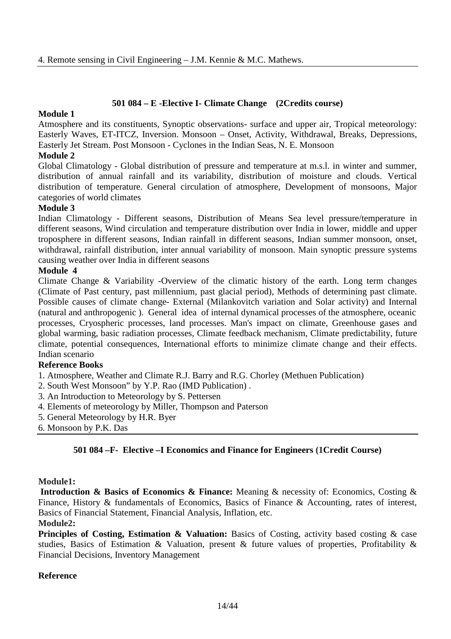## **501 084 – E -Elective I- Climate Change (2Credits course)**

#### **Module 1**

Atmosphere and its constituents, Synoptic observations- surface and upper air, Tropical meteorology: Easterly Waves, ET-ITCZ, Inversion. Monsoon – Onset, Activity, Withdrawal, Breaks, Depressions, Easterly Jet Stream. Post Monsoon - Cyclones in the Indian Seas, N. E. Monsoon

## **Module 2**

Global Climatology - Global distribution of pressure and temperature at m.s.l. in winter and summer, distribution of annual rainfall and its variability, distribution of moisture and clouds. Vertical distribution of temperature. General circulation of atmosphere, Development of monsoons, Major categories of world climates

#### **Module 3**

Indian Climatology - Different seasons, Distribution of Means Sea level pressure/temperature in different seasons, Wind circulation and temperature distribution over India in lower, middle and upper troposphere in different seasons, Indian rainfall in different seasons, Indian summer monsoon, onset, withdrawal, rainfall distribution, inter annual variability of monsoon. Main synoptic pressure systems causing weather over India in different seasons

#### **Module 4**

Climate Change & Variability -Overview of the climatic history of the earth. Long term changes (Climate of Past century, past millennium, past glacial period), Methods of determining past climate. Possible causes of climate change- External (Milankovitch variation and Solar activity) and Internal (natural and anthropogenic ). General idea of internal dynamical processes of the atmosphere, oceanic processes, Cryospheric processes, land processes. Man's impact on climate, Greenhouse gases and global warming, basic radiation processes, Climate feedback mechanism, Climate predictability, future climate, potential consequences, International efforts to minimize climate change and their effects. Indian scenario

#### **Reference Books**

1. Atmosphere, Weather and Climate R.J. Barry and R.G. Chorley (Methuen Publication)

- 2. South West Monsoon" by Y.P. Rao (IMD Publication) .
- 3. An Introduction to Meteorology by S. Pettersen
- 4. Elements of meteorology by Miller, Thompson and Paterson
- 5. General Meteorology by H.R. Byer
- 6. Monsoon by P.K. Das

## **501 084 –F- Elective –I Economics and Finance for Engineers (1Credit Course)**

#### **Module1:**

 **Introduction & Basics of Economics & Finance:** Meaning & necessity of: Economics, Costing & Finance, History & fundamentals of Economics, Basics of Finance & Accounting, rates of interest, Basics of Financial Statement, Financial Analysis, Inflation, etc.

#### **Module2:**

**Principles of Costing, Estimation & Valuation:** Basics of Costing, activity based costing & case studies, Basics of Estimation & Valuation, present & future values of properties, Profitability & Financial Decisions, Inventory Management

#### **Reference**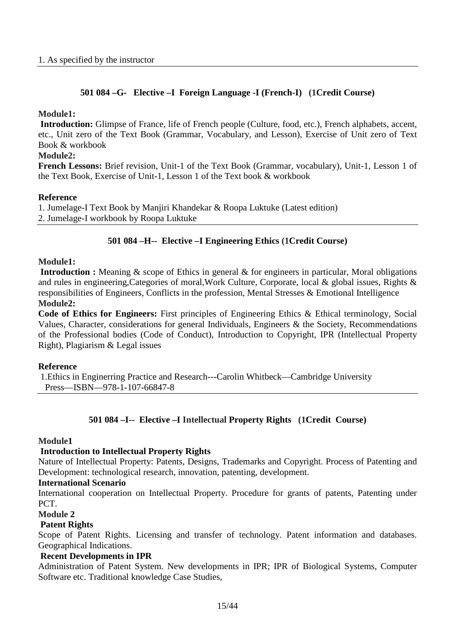# **501 084 –G- Elective –I Foreign Language -I (French-I) (1Credit Course)**

#### **Module1:**

 **Introduction:** Glimpse of France, life of French people (Culture, food, etc.), French alphabets, accent, etc., Unit zero of the Text Book (Grammar, Vocabulary, and Lesson), Exercise of Unit zero of Text Book & workbook

### **Module2:**

**French Lessons:** Brief revision, Unit-1 of the Text Book (Grammar, vocabulary), Unit-1, Lesson 1 of the Text Book, Exercise of Unit-1, Lesson 1 of the Text book & workbook

#### **Reference**

1. Jumelage-I Text Book by Manjiri Khandekar & Roopa Luktuke (Latest edition) 2. Jumelage-I workbook by Roopa Luktuke

# **501 084 –H-- Elective –I Engineering Ethics (1Credit Course)**

#### **Module1:**

 **Introduction :** Meaning & scope of Ethics in general & for engineers in particular, Moral obligations and rules in engineering,Categories of moral,Work Culture, Corporate, local & global issues, Rights & responsibilities of Engineers, Conflicts in the profession, Mental Stresses & Emotional Intelligence **Module2:** 

**Code of Ethics for Engineers:** First principles of Engineering Ethics & Ethical terminology, Social Values, Character, considerations for general Individuals, Engineers & the Society, Recommendations of the Professional bodies (Code of Conduct), Introduction to Copyright, IPR (Intellectual Property Right), Plagiarism & Legal issues

#### **Reference**

1.Ethics in Enginerring Practice and Research---Carolin Whitbeck—Cambridge University Press—ISBN—978-1-107-66847-8

## **501 084 –I-- Elective –I Intellectual Property Rights (1Credit Course)**

#### **Module1**

## **Introduction to Intellectual Property Rights**

Nature of Intellectual Property: Patents, Designs, Trademarks and Copyright. Process of Patenting and Development: technological research, innovation, patenting, development.

#### **International Scenario**

International cooperation on Intellectual Property. Procedure for grants of patents, Patenting under PCT.

#### **Module 2**

## **Patent Rights**

Scope of Patent Rights. Licensing and transfer of technology. Patent information and databases. Geographical Indications.

#### **Recent Developments in IPR**

Administration of Patent System. New developments in IPR; IPR of Biological Systems, Computer Software etc. Traditional knowledge Case Studies,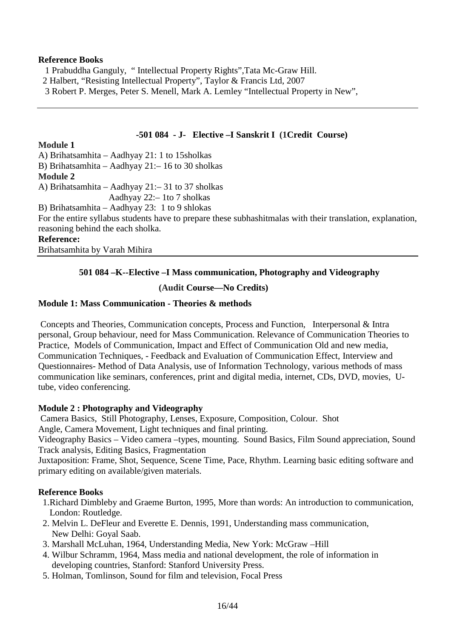#### **Reference Books**

1 Prabuddha Ganguly, " Intellectual Property Rights",Tata Mc-Graw Hill.

2 Halbert, "Resisting Intellectual Property", Taylor & Francis Ltd, 2007

3 Robert P. Merges, Peter S. Menell, Mark A. Lemley "Intellectual Property in New",

#### **-501 084 - J- Elective –I Sanskrit I (1Credit Course)**

## **Module 1**

A) Brihatsamhita – Aadhyay 21: 1 to 15sholkas B) Brihatsamhita – Aadhyay 21:– 16 to 30 sholkas **Module 2**  A) Brihatsamhita – Aadhyay 21:– 31 to 37 sholkas Aadhyay 22:– 1to 7 sholkas B) Brihatsamhita – Aadhyay 23: 1 to 9 shlokas

For the entire syllabus students have to prepare these subhashitmalas with their translation, explanation, reasoning behind the each sholka.

#### **Reference:**

Brihatsamhita by Varah Mihira

## **501 084 –K--Elective –I Mass communication, Photography and Videography**

 **(Audit Course—No Credits)** 

## **Module 1: Mass Communication - Theories & methods**

 Concepts and Theories, Communication concepts, Process and Function, Interpersonal & Intra personal, Group behaviour, need for Mass Communication. Relevance of Communication Theories to Practice, Models of Communication, Impact and Effect of Communication Old and new media, Communication Techniques, - Feedback and Evaluation of Communication Effect, Interview and Questionnaires- Method of Data Analysis, use of Information Technology, various methods of mass communication like seminars, conferences, print and digital media, internet, CDs, DVD, movies, Utube, video conferencing.

## **Module 2 : Photography and Videography**

 Camera Basics, Still Photography, Lenses, Exposure, Composition, Colour. Shot Angle, Camera Movement, Light techniques and final printing.

Videography Basics – Video camera –types, mounting. Sound Basics, Film Sound appreciation, Sound Track analysis, Editing Basics, Fragmentation

Juxtaposition: Frame, Shot, Sequence, Scene Time, Pace, Rhythm. Learning basic editing software and primary editing on available/given materials.

## **Reference Books**

- 1.Richard Dimbleby and Graeme Burton, 1995, More than words: An introduction to communication, London: Routledge.
- 2. Melvin L. DeFleur and Everette E. Dennis, 1991, Understanding mass communication, New Delhi: Goyal Saab.
- 3. Marshall McLuhan, 1964, Understanding Media, New York: McGraw –Hill
- 4. Wilbur Schramm, 1964, Mass media and national development, the role of information in developing countries, Stanford: Stanford University Press.
- 5. Holman, Tomlinson, Sound for film and television, Focal Press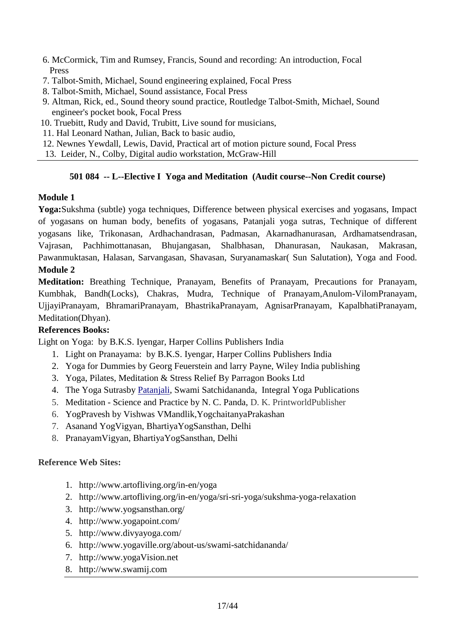- 6. McCormick, Tim and Rumsey, Francis, Sound and recording: An introduction, Focal Press
- 7. Talbot-Smith, Michael, Sound engineering explained*,* Focal Press
- 8. Talbot-Smith, Michael, Sound assistance*,* Focal Press
- 9. Altman, Rick, ed., Sound theory sound practice*,* Routledge Talbot-Smith, Michael, Sound engineer's pocket book, Focal Press
- 10. Truebitt, Rudy and David, Trubitt, Live sound for musicians,
- 11. Hal Leonard Nathan, Julian, Back to basic audio,
- 12. Newnes Yewdall, Lewis, David, Practical art of motion picture sound, Focal Press
- 13. Leider, N., Colby, Digital audio workstation, McGraw-Hill

# **501 084 -- L--Elective I Yoga and Meditation (Audit course--Non Credit course)**

# **Module 1**

**Yoga:**Sukshma (subtle) yoga techniques, Difference between physical exercises and yogasans, Impact of yogasans on human body, benefits of yogasans, Patanjali yoga sutras, Technique of different yogasans like, Trikonasan, Ardhachandrasan, Padmasan, Akarnadhanurasan, Ardhamatsendrasan, Vajrasan, Pachhimottanasan, Bhujangasan, Shalbhasan, Dhanurasan, Naukasan, Makrasan, Pawanmuktasan, Halasan, Sarvangasan, Shavasan, Suryanamaskar( Sun Salutation), Yoga and Food. **Module 2**

**Meditation:** Breathing Technique, Pranayam, Benefits of Pranayam, Precautions for Pranayam, Kumbhak, Bandh(Locks), Chakras, Mudra, Technique of Pranayam,Anulom-VilomPranayam, UjjayiPranayam, BhramariPranayam, BhastrikaPranayam, AgnisarPranayam, KapalbhatiPranayam, Meditation(Dhyan).

# **References Books:**

Light on Yoga: by B.K.S. Iyengar, Harper Collins Publishers India

- 1. Light on Pranayama: by B.K.S. Iyengar, Harper Collins Publishers India
- 2. Yoga for Dummies by Georg Feuerstein and larry Payne, Wiley India publishing
- 3. Yoga, Pilates, Meditation & Stress Relief By Parragon Books Ltd
- 4. The Yoga Sutrasby Patanjali, Swami Satchidananda, Integral Yoga Publications
- 5. Meditation Science and Practice by N. C. Panda, D. K. PrintworldPublisher
- 6. YogPravesh by Vishwas VMandlik,YogchaitanyaPrakashan
- 7. Asanand YogVigyan, BhartiyaYogSansthan, Delhi
- 8. PranayamVigyan, BhartiyaYogSansthan, Delhi

## **Reference Web Sites:**

- 1. http://www.artofliving.org/in-en/yoga
- 2. http://www.artofliving.org/in-en/yoga/sri-sri-yoga/sukshma-yoga-relaxation
- 3. http://www.yogsansthan.org/
- 4. http://www.yogapoint.com/
- 5. http://www.divyayoga.com/
- 6. http://www.yogaville.org/about-us/swami-satchidananda/
- 7. http://www.yogaVision.net
- 8. http://www.swamij.com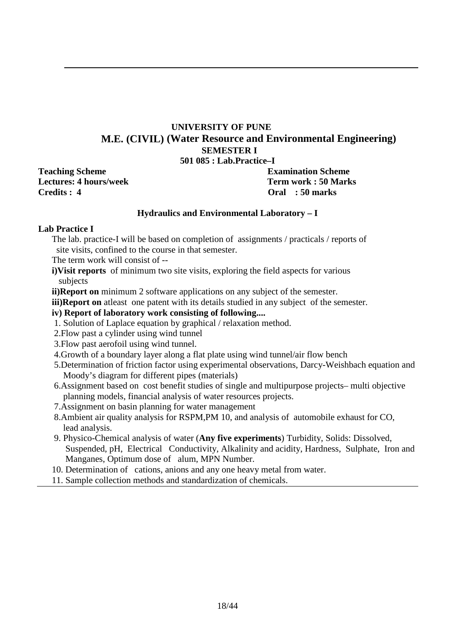# **UNIVERSITY OF PUNE M.E. (CIVIL) (Water Resource and Environmental Engineering) SEMESTER I**

**501 085 : Lab.Practice–I** 

**Credits : 4 Oral : 50 marks** 

**Teaching Scheme Examination Scheme Lectures: 4 hours/week Term work : 50 Marks** 

#### **Hydraulics and Environmental Laboratory – I**

#### **Lab Practice I**

The lab. practice-I will be based on completion of assignments / practicals / reports of site visits, confined to the course in that semester.

The term work will consist of --

- **i)Visit reports** of minimum two site visits, exploring the field aspects for various subjects
- **ii)Report on** minimum 2 software applications on any subject of the semester.
- **iii)Report on** at least one patent with its details studied in any subject of the semester.
- **iv) Report of laboratory work consisting of following....**
- 1. Solution of Laplace equation by graphical / relaxation method.
- 2.Flow past a cylinder using wind tunnel
- 3.Flow past aerofoil using wind tunnel.
- 4.Growth of a boundary layer along a flat plate using wind tunnel/air flow bench
- 5.Determination of friction factor using experimental observations, Darcy-Weishbach equation and Moody's diagram for different pipes (materials)
- 6.Assignment based on cost benefit studies of single and multipurpose projects– multi objective planning models, financial analysis of water resources projects.
- 7.Assignment on basin planning for water management
- 8.Ambient air quality analysis for RSPM,PM 10, and analysis of automobile exhaust for CO, lead analysis.
- 9. Physico-Chemical analysis of water (**Any five experiments**) Turbidity, Solids: Dissolved, Suspended, pH, Electrical Conductivity, Alkalinity and acidity, Hardness, Sulphate, Iron and Manganes, Optimum dose of alum, MPN Number.
- 10. Determination of cations, anions and any one heavy metal from water.
- 11. Sample collection methods and standardization of chemicals.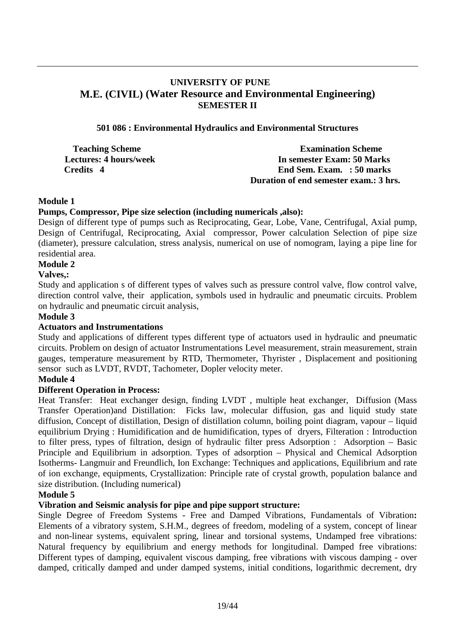# **UNIVERSITY OF PUNE M.E. (CIVIL) (Water Resource and Environmental Engineering) SEMESTER II**

**501 086 : Environmental Hydraulics and Environmental Structures** 

**Teaching Scheme Examination Scheme Lectures: 4 hours/week In semester Exam: 50 Marks Credits 4 End Sem. Exam. : 50 marks Duration of end semester exam.: 3 hrs.** 

## **Module 1**

#### **Pumps, Compressor, Pipe size selection (including numericals ,also):**

Design of different type of pumps such as Reciprocating, Gear, Lobe, Vane, Centrifugal, Axial pump, Design of Centrifugal, Reciprocating, Axial compressor, Power calculation Selection of pipe size (diameter), pressure calculation, stress analysis, numerical on use of nomogram, laying a pipe line for residential area.

### **Module 2**

#### **Valves,:**

Study and application s of different types of valves such as pressure control valve, flow control valve, direction control valve, their application, symbols used in hydraulic and pneumatic circuits. Problem on hydraulic and pneumatic circuit analysis,

#### **Module 3**

#### **Actuators and Instrumentations**

Study and applications of different types different type of actuators used in hydraulic and pneumatic circuits. Problem on design of actuator Instrumentations Level measurement, strain measurement, strain gauges, temperature measurement by RTD, Thermometer, Thyrister , Displacement and positioning sensor such as LVDT, RVDT, Tachometer, Dopler velocity meter.

#### **Module 4**

#### **Different Operation in Process:**

Heat Transfer: Heat exchanger design, finding LVDT , multiple heat exchanger, Diffusion (Mass Transfer Operation)and Distillation: Ficks law, molecular diffusion, gas and liquid study state diffusion, Concept of distillation, Design of distillation column, boiling point diagram, vapour – liquid equilibrium Drying : Humidification and de humidification, types of dryers, Filteration : Introduction to filter press, types of filtration, design of hydraulic filter press Adsorption : Adsorption – Basic Principle and Equilibrium in adsorption. Types of adsorption – Physical and Chemical Adsorption Isotherms- Langmuir and Freundlich, Ion Exchange: Techniques and applications, Equilibrium and rate of ion exchange, equipments, Crystallization: Principle rate of crystal growth, population balance and size distribution. (Including numerical)

#### **Module 5**

#### **Vibration and Seismic analysis for pipe and pipe support structure:**

Single Degree of Freedom Systems - Free and Damped Vibrations, Fundamentals of Vibration**:**  Elements of a vibratory system, S.H.M., degrees of freedom, modeling of a system, concept of linear and non-linear systems, equivalent spring, linear and torsional systems, Undamped free vibrations: Natural frequency by equilibrium and energy methods for longitudinal. Damped free vibrations: Different types of damping, equivalent viscous damping, free vibrations with viscous damping - over damped, critically damped and under damped systems, initial conditions, logarithmic decrement, dry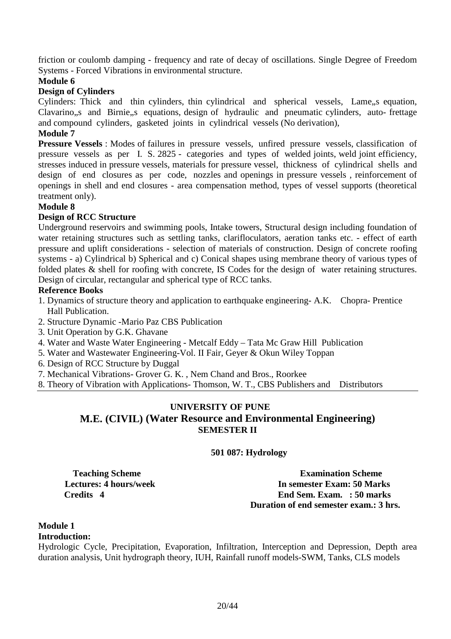friction or coulomb damping - frequency and rate of decay of oscillations. Single Degree of Freedom Systems - Forced Vibrations in environmental structure.

#### **Module 6**

#### **Design of Cylinders**

Cylinders: Thick and thin cylinders, thin cylindrical and spherical vessels, Lame, s equation, Clavarino, s and Birnie, s equations, design of hydraulic and pneumatic cylinders, auto- frettage and compound cylinders, gasketed joints in cylindrical vessels (No derivation),

#### **Module 7**

**Pressure Vessels** : Modes of failures in pressure vessels, unfired pressure vessels, classification of pressure vessels as per I. S. 2825 - categories and types of welded joints, weld joint efficiency, stresses induced in pressure vessels, materials for pressure vessel, thickness of cylindrical shells and design of end closures as per code, nozzles and openings in pressure vessels , reinforcement of openings in shell and end closures - area compensation method, types of vessel supports (theoretical treatment only).

#### **Module 8**

#### **Design of RCC Structure**

Underground reservoirs and swimming pools, Intake towers, Structural design including foundation of water retaining structures such as settling tanks, clarifloculators, aeration tanks etc. - effect of earth pressure and uplift considerations - selection of materials of construction. Design of concrete roofing systems - a) Cylindrical b) Spherical and c) Conical shapes using membrane theory of various types of folded plates & shell for roofing with concrete, IS Codes for the design of water retaining structures. Design of circular, rectangular and spherical type of RCC tanks.

#### **Reference Books**

- 1. Dynamics of structure theory and application to earthquake engineering- A.K. Chopra- Prentice Hall Publication.
- 2. Structure Dynamic -Mario Paz CBS Publication
- 3. Unit Operation by G.K. Ghavane
- 4. Water and Waste Water Engineering Metcalf Eddy Tata Mc Graw Hill Publication
- 5. Water and Wastewater Engineering-Vol. II Fair, Geyer & Okun Wiley Toppan
- 6. Design of RCC Structure by Duggal
- 7. Mechanical Vibrations- Grover G. K. , Nem Chand and Bros., Roorkee

8. Theory of Vibration with Applications- Thomson, W. T., CBS Publishers and Distributors

# **UNIVERSITY OF PUNE M.E. (CIVIL) (Water Resource and Environmental Engineering) SEMESTER II**

 **501 087: Hydrology** 

**Teaching Scheme Examination Scheme Lectures: 4 hours/week In semester Exam: 50 Marks Credits 4 End Sem. Exam. : 50 marks Duration of end semester exam.: 3 hrs.** 

#### **Module 1 Introduction:**

Hydrologic Cycle, Precipitation, Evaporation, Infiltration, Interception and Depression, Depth area duration analysis, Unit hydrograph theory, IUH, Rainfall runoff models-SWM, Tanks, CLS models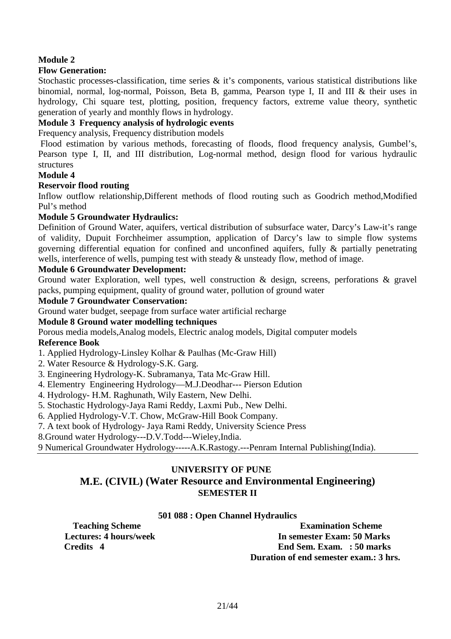# **Module 2**

#### **Flow Generation:**

Stochastic processes-classification, time series & it's components, various statistical distributions like binomial, normal, log-normal, Poisson, Beta B, gamma, Pearson type I, II and III & their uses in hydrology, Chi square test, plotting, position, frequency factors, extreme value theory, synthetic generation of yearly and monthly flows in hydrology.

#### **Module 3 Frequency analysis of hydrologic events**

Frequency analysis, Frequency distribution models

 Flood estimation by various methods, forecasting of floods, flood frequency analysis, Gumbel's, Pearson type I, II, and III distribution, Log-normal method, design flood for various hydraulic structures

#### **Module 4**

#### **Reservoir flood routing**

Inflow outflow relationship,Different methods of flood routing such as Goodrich method,Modified Pul's method

#### **Module 5 Groundwater Hydraulics:**

Definition of Ground Water, aquifers, vertical distribution of subsurface water, Darcy's Law-it's range of validity, Dupuit Forchheimer assumption, application of Darcy's law to simple flow systems governing differential equation for confined and unconfined aquifers, fully & partially penetrating wells, interference of wells, pumping test with steady & unsteady flow, method of image.

#### **Module 6 Groundwater Development:**

Ground water Exploration, well types, well construction  $\&$  design, screens, perforations  $\&$  gravel packs, pumping equipment, quality of ground water, pollution of ground water

#### **Module 7 Groundwater Conservation:**

Ground water budget, seepage from surface water artificial recharge

#### **Module 8 Ground water modelling techniques**

Porous media models,Analog models, Electric analog models, Digital computer models

#### **Reference Book**

- 1. Applied Hydrology-Linsley Kolhar & Paulhas (Mc-Graw Hill)
- 2. Water Resource & Hydrology-S.K. Garg.
- 3. Engineering Hydrology-K. Subramanya, Tata Mc-Graw Hill.
- 4. Elementry Engineering Hydrology—M.J.Deodhar--- Pierson Edution
- 4. Hydrology- H.M. Raghunath, Wily Eastern, New Delhi.
- 5. Stochastic Hydrology-Jaya Rami Reddy, Laxmi Pub., New Delhi.
- 6. Applied Hydrology-V.T. Chow, McGraw-Hill Book Company.
- 7. A text book of Hydrology- Jaya Rami Reddy, University Science Press
- 8.Ground water Hydrology---D.V.Todd---Wieley,India.

9 Numerical Groundwater Hydrology-----A.K.Rastogy.---Penram Internal Publishing(India).

#### **UNIVERSITY OF PUNE**

# **M.E. (CIVIL) (Water Resource and Environmental Engineering) SEMESTER II**

#### **501 088 : Open Channel Hydraulics**

**Teaching Scheme Examination Scheme Lectures: 4 hours/week In semester Exam: 50 Marks Credits 4 End Sem. Exam. : 50 marks Duration of end semester exam.: 3 hrs.**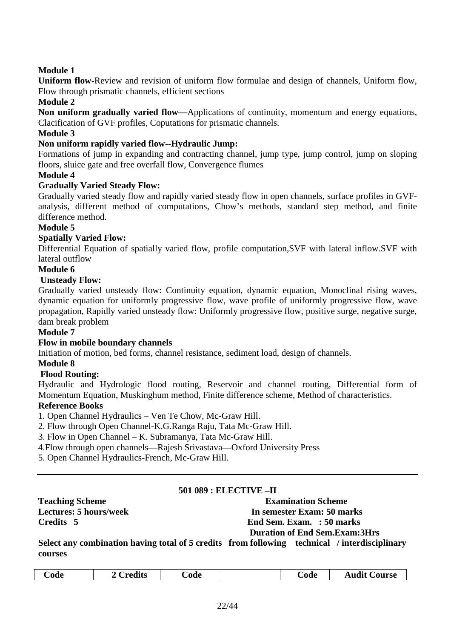# **Module 1**

**Uniform flow-**Review and revision of uniform flow formulae and design of channels, Uniform flow, Flow through prismatic channels, efficient sections

#### **Module 2**

**Non uniform gradually varied flow—**Applications of continuity, momentum and energy equations, Clacification of GVF profiles, Coputations for prismatic channels.

#### **Module 3**

#### **Non uniform rapidly varied flow--Hydraulic Jump:**

Formations of jump in expanding and contracting channel, jump type, jump control, jump on sloping floors, sluice gate and free overfall flow, Convergence flumes

#### **Module 4**

#### **Gradually Varied Steady Flow:**

Gradually varied steady flow and rapidly varied steady flow in open channels, surface profiles in GVFanalysis, different method of computations, Chow's methods, standard step method, and finite difference method.

#### **Module 5**

#### **Spatially Varied Flow:**

Differential Equation of spatially varied flow, profile computation,SVF with lateral inflow.SVF with lateral outflow

#### **Module 6**

## **Unsteady Flow:**

Gradually varied unsteady flow: Continuity equation, dynamic equation, Monoclinal rising waves, dynamic equation for uniformly progressive flow, wave profile of uniformly progressive flow, wave propagation, Rapidly varied unsteady flow: Uniformly progressive flow, positive surge, negative surge, dam break problem

#### **Module 7**

#### **Flow in mobile boundary channels**

Initiation of motion, bed forms, channel resistance, sediment load, design of channels.

#### **Module 8**

#### **Flood Routing:**

Hydraulic and Hydrologic flood routing, Reservoir and channel routing, Differential form of Momentum Equation, Muskinghum method, Finite difference scheme, Method of characteristics.

#### **Reference Books**

1. Open Channel Hydraulics – Ven Te Chow, Mc-Graw Hill.

2. Flow through Open Channel-K.G.Ranga Raju, Tata Mc-Graw Hill.

3. Flow in Open Channel – K. Subramanya, Tata Mc-Graw Hill.

4.Flow through open channels—Rajesh Srivastava—Oxford University Press

5. Open Channel Hydraulics-French, Mc-Graw Hill.

#### **501 089 : ELECTIVE –II**

**Teaching Scheme Examination Scheme Lectures: 5 hours/week In semester Exam: 50 marks Credits 5 End Sem. Exam. : 50 marks Duration of End Sem.Exam:3Hrs** 

**Select any combination having total of 5 credits from following technical / interdisciplinary courses** 

| $\tilde{\phantom{a}}$<br>∠ode | $\sim$ $\sim$<br>redits<br>- 1 | ∠ode | ∠ode | Audit '<br><b>Course</b> |
|-------------------------------|--------------------------------|------|------|--------------------------|
|                               |                                |      |      |                          |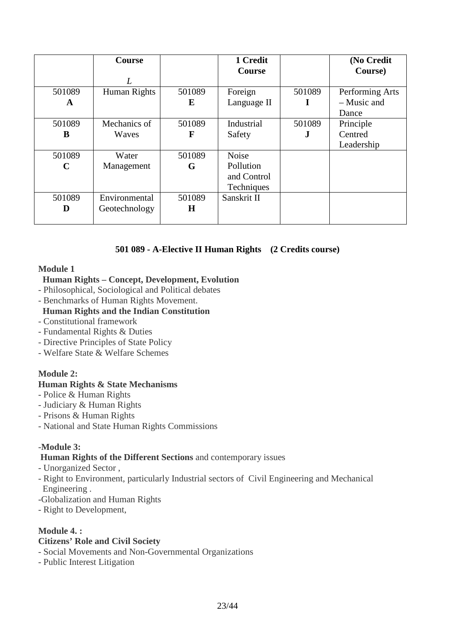|             | Course        |         | 1 Credit<br><b>Course</b> |        | (No Credit<br>Course) |
|-------------|---------------|---------|---------------------------|--------|-----------------------|
|             | L             |         |                           |        |                       |
| 501089      | Human Rights  | 501089  | Foreign                   | 501089 | Performing Arts       |
| A           |               | E       | Language II               |        | - Music and           |
|             |               |         |                           |        | Dance                 |
| 501089      | Mechanics of  | 501089  | Industrial                | 501089 | Principle             |
| B           | Waves         | F       | Safety                    | J.     | Centred               |
|             |               |         |                           |        | Leadership            |
| 501089      | Water         | 501089  | <b>Noise</b>              |        |                       |
| $\mathbf C$ | Management    | G       | Pollution                 |        |                       |
|             |               |         | and Control               |        |                       |
|             |               |         | Techniques                |        |                       |
| 501089      | Environmental | 501089  | Sanskrit II               |        |                       |
| D           | Geotechnology | $\bf H$ |                           |        |                       |
|             |               |         |                           |        |                       |

# **501 089 - A-Elective II Human Rights (2 Credits course)**

#### **Module 1**

## **Human Rights – Concept, Development, Evolution**

- Philosophical, Sociological and Political debates
- Benchmarks of Human Rights Movement.

#### **Human Rights and the Indian Constitution**

- Constitutional framework
- Fundamental Rights & Duties
- Directive Principles of State Policy
- Welfare State & Welfare Schemes

## **Module 2:**

## **Human Rights & State Mechanisms**

- Police & Human Rights
- Judiciary & Human Rights
- Prisons & Human Rights
- National and State Human Rights Commissions

## -**Module 3:**

## **Human Rights of the Different Sections** and contemporary issues

- Unorganized Sector ,
- Right to Environment, particularly Industrial sectors of Civil Engineering and Mechanical Engineering .
- -Globalization and Human Rights
- Right to Development,

## **Module 4. :**

#### **Citizens' Role and Civil Society**

- Social Movements and Non-Governmental Organizations
- Public Interest Litigation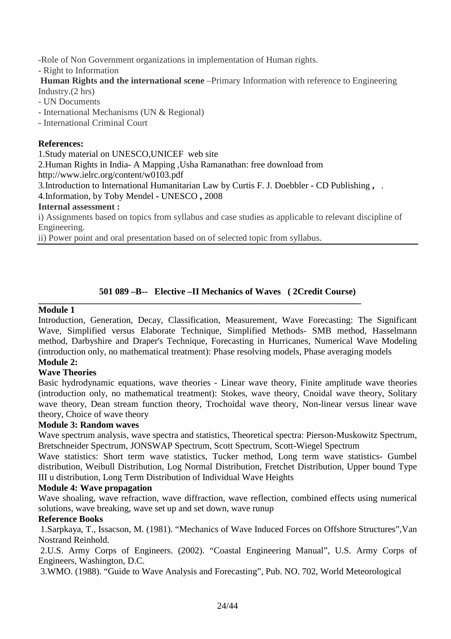-Role of Non Government organizations in implementation of Human rights.

- Right to Information

**Human Rights and the international scene** –Primary Information with reference to Engineering Industry.(2 hrs)

- UN Documents

- International Mechanisms (UN & Regional)

- International Criminal Court

## **References:**

1.Study material on UNESCO,UNICEF web site

2.Human Rights in India- A Mapping ,Usha Ramanathan: free download from

http://www.ielrc.org/content/w0103.pdf

3.Introduction to International Humanitarian Law by Curtis F. J. Doebbler **-** CD Publishing **,** .

4.Information, by Toby Mendel **-** UNESCO **,** 2008

## **Internal assessment :**

i) Assignments based on topics from syllabus and case studies as applicable to relevant discipline of Engineering.

ii) Power point and oral presentation based on of selected topic from syllabus.

#### **501 089 –B-- Elective –II Mechanics of Waves ( 2Credit Course) \_\_\_\_\_\_\_\_\_\_\_\_\_\_\_\_\_\_\_\_\_\_\_\_\_\_\_\_\_\_\_\_\_\_\_\_\_\_\_\_\_\_\_\_\_\_\_\_\_\_\_\_\_\_\_\_\_\_\_\_\_\_\_\_\_\_\_\_\_\_\_**

## **Module 1**

Introduction, Generation, Decay, Classification, Measurement, Wave Forecasting: The Significant Wave, Simplified versus Elaborate Technique, Simplified Methods- SMB method, Hasselmann method, Darbyshire and Draper's Technique, Forecasting in Hurricanes, Numerical Wave Modeling (introduction only, no mathematical treatment): Phase resolving models, Phase averaging models

# **Module 2:**

## **Wave Theories**

Basic hydrodynamic equations, wave theories - Linear wave theory, Finite amplitude wave theories (introduction only, no mathematical treatment): Stokes, wave theory, Cnoidal wave theory, Solitary wave theory, Dean stream function theory, Trochoidal wave theory, Non-linear versus linear wave theory, Choice of wave theory

# **Module 3: Random waves**

Wave spectrum analysis, wave spectra and statistics, Theoretical spectra: Pierson-Muskowitz Spectrum, Bretschneider Spectrum, JONSWAP Spectrum, Scott Spectrum, Scott-Wiegel Spectrum

Wave statistics: Short term wave statistics, Tucker method, Long term wave statistics- Gumbel distribution, Weibull Distribution, Log Normal Distribution, Fretchet Distribution, Upper bound Type III u distribution, Long Term Distribution of Individual Wave Heights

## **Module 4: Wave propagation**

Wave shoaling, wave refraction, wave diffraction, wave reflection, combined effects using numerical solutions, wave breaking, wave set up and set down, wave runup

## **Reference Books**

 1.Sarpkaya, T., Issacson, M. (1981). "Mechanics of Wave Induced Forces on Offshore Structures",Van Nostrand Reinhold.

 2.U.S. Army Corps of Engineers. (2002). "Coastal Engineering Manual", U.S. Army Corps of Engineers, Washington, D.C.

3.WMO. (1988). "Guide to Wave Analysis and Forecasting", Pub. NO. 702, World Meteorological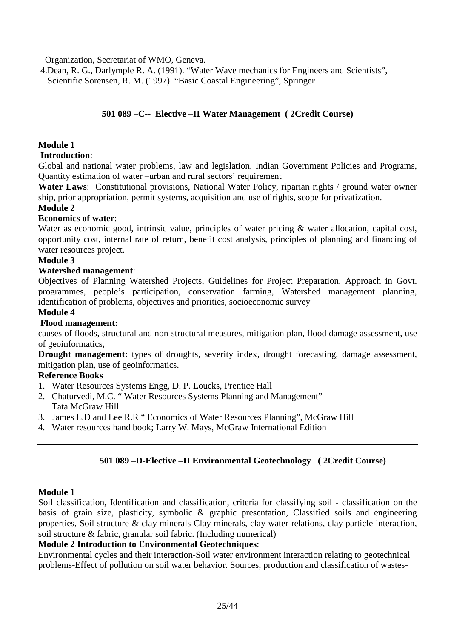Organization, Secretariat of WMO, Geneva.

 4.Dean, R. G., Darlymple R. A. (1991). "Water Wave mechanics for Engineers and Scientists", Scientific Sorensen, R. M. (1997). "Basic Coastal Engineering", Springer

## **501 089 –C-- Elective –II Water Management ( 2Credit Course)**

#### **Module 1**

#### **Introduction**:

Global and national water problems, law and legislation, Indian Government Policies and Programs, Quantity estimation of water –urban and rural sectors' requirement

**Water Laws**: Constitutional provisions, National Water Policy, riparian rights / ground water owner ship, prior appropriation, permit systems, acquisition and use of rights, scope for privatization.

#### **Module 2**

#### **Economics of water**:

Water as economic good, intrinsic value, principles of water pricing & water allocation, capital cost, opportunity cost, internal rate of return, benefit cost analysis, principles of planning and financing of water resources project.

#### **Module 3**

#### **Watershed management**:

Objectives of Planning Watershed Projects, Guidelines for Project Preparation, Approach in Govt. programmes, people's participation, conservation farming, Watershed management planning, identification of problems, objectives and priorities, socioeconomic survey

#### **Module 4**

#### **Flood management:**

causes of floods, structural and non-structural measures, mitigation plan, flood damage assessment, use of geoinformatics,

**Drought management:** types of droughts, severity index, drought forecasting, damage assessment, mitigation plan, use of geoinformatics.

#### **Reference Books**

- 1. Water Resources Systems Engg, D. P. Loucks, Prentice Hall
- 2. Chaturvedi, M.C. " Water Resources Systems Planning and Management" Tata McGraw Hill
- 3. James L.D and Lee R.R " Economics of Water Resources Planning", McGraw Hill
- 4. Water resources hand book; Larry W. Mays, McGraw International Edition

#### **501 089 –D-Elective –II Environmental Geotechnology ( 2Credit Course)**

#### **Module 1**

Soil classification, Identification and classification, criteria for classifying soil - classification on the basis of grain size, plasticity, symbolic & graphic presentation, Classified soils and engineering properties, Soil structure & clay minerals Clay minerals, clay water relations, clay particle interaction, soil structure & fabric, granular soil fabric. (Including numerical)

#### **Module 2 Introduction to Environmental Geotechniques**:

Environmental cycles and their interaction-Soil water environment interaction relating to geotechnical problems-Effect of pollution on soil water behavior. Sources, production and classification of wastes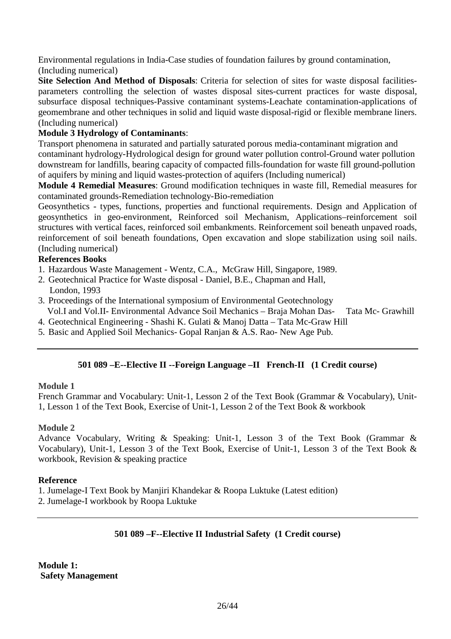Environmental regulations in India-Case studies of foundation failures by ground contamination, (Including numerical)

**Site Selection And Method of Disposals**: Criteria for selection of sites for waste disposal facilitiesparameters controlling the selection of wastes disposal sites-current practices for waste disposal, subsurface disposal techniques-Passive contaminant systems-Leachate contamination-applications of geomembrane and other techniques in solid and liquid waste disposal-rigid or flexible membrane liners. (Including numerical)

# **Module 3 Hydrology of Contaminants**:

Transport phenomena in saturated and partially saturated porous media-contaminant migration and contaminant hydrology-Hydrological design for ground water pollution control-Ground water pollution downstream for landfills, bearing capacity of compacted fills-foundation for waste fill ground-pollution of aquifers by mining and liquid wastes-protection of aquifers (Including numerical)

**Module 4 Remedial Measures**: Ground modification techniques in waste fill, Remedial measures for contaminated grounds-Remediation technology-Bio-remediation

Geosynthetics - types, functions, properties and functional requirements. Design and Application of geosynthetics in geo-environment, Reinforced soil Mechanism, Applications–reinforcement soil structures with vertical faces, reinforced soil embankments. Reinforcement soil beneath unpaved roads, reinforcement of soil beneath foundations, Open excavation and slope stabilization using soil nails. (Including numerical)

# **References Books**

1. Hazardous Waste Management - Wentz, C.A., McGraw Hill, Singapore, 1989.

- 2. Geotechnical Practice for Waste disposal Daniel, B.E., Chapman and Hall, London, 1993
- 3. Proceedings of the International symposium of Environmental Geotechnology Vol.I and Vol.II- Environmental Advance Soil Mechanics – Braja Mohan Das- Tata Mc- Grawhill
- 4. Geotechnical Engineering Shashi K. Gulati & Manoj Datta Tata Mc-Graw Hill
- 5. Basic and Applied Soil Mechanics- Gopal Ranjan & A.S. Rao- New Age Pub.

# **501 089 –E--Elective II --Foreign Language –II French-II (1 Credit course)**

## **Module 1**

French Grammar and Vocabulary: Unit-1, Lesson 2 of the Text Book (Grammar & Vocabulary), Unit-1, Lesson 1 of the Text Book, Exercise of Unit-1, Lesson 2 of the Text Book & workbook

## **Module 2**

Advance Vocabulary, Writing & Speaking: Unit-1, Lesson 3 of the Text Book (Grammar & Vocabulary), Unit-1, Lesson 3 of the Text Book, Exercise of Unit-1, Lesson 3 of the Text Book & workbook, Revision & speaking practice

## **Reference**

1. Jumelage-I Text Book by Manjiri Khandekar & Roopa Luktuke (Latest edition)

2. Jumelage-I workbook by Roopa Luktuke

## **501 089 –F--Elective II Industrial Safety (1 Credit course)**

**Module 1: Safety Management**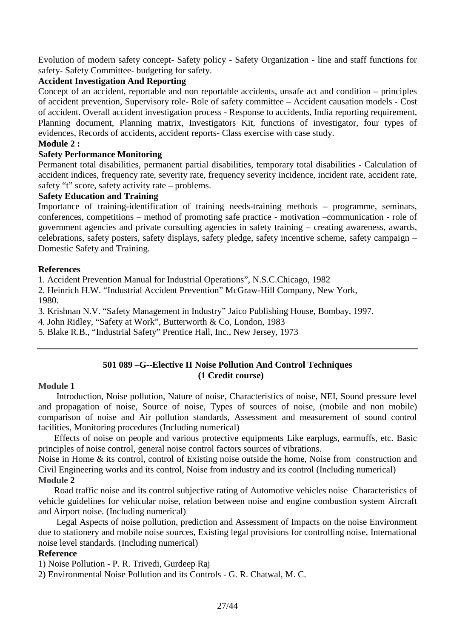Evolution of modern safety concept- Safety policy - Safety Organization - line and staff functions for safety- Safety Committee- budgeting for safety.

#### **Accident Investigation And Reporting**

Concept of an accident, reportable and non reportable accidents, unsafe act and condition – principles of accident prevention, Supervisory role- Role of safety committee – Accident causation models - Cost of accident. Overall accident investigation process - Response to accidents, India reporting requirement, Planning document, Planning matrix, Investigators Kit, functions of investigator, four types of evidences, Records of accidents, accident reports- Class exercise with case study.

#### **Module 2 :**

#### **Safety Performance Monitoring**

Permanent total disabilities, permanent partial disabilities, temporary total disabilities - Calculation of accident indices, frequency rate, severity rate, frequency severity incidence, incident rate, accident rate, safety "t" score, safety activity rate – problems.

#### **Safety Education and Training**

Importance of training-identification of training needs-training methods – programme, seminars, conferences, competitions – method of promoting safe practice - motivation –communication - role of government agencies and private consulting agencies in safety training – creating awareness, awards, celebrations, safety posters, safety displays, safety pledge, safety incentive scheme, safety campaign – Domestic Safety and Training.

#### **References**

1. Accident Prevention Manual for Industrial Operations", N.S.C.Chicago, 1982

2. Heinrich H.W. "Industrial Accident Prevention" McGraw-Hill Company, New York, 1980.

3. Krishnan N.V. "Safety Management in Industry" Jaico Publishing House, Bombay, 1997.

4. John Ridley, "Safety at Work", Butterworth & Co, London, 1983

5. Blake R.B., "Industrial Safety" Prentice Hall, Inc., New Jersey, 1973

## **501 089 –G--Elective II Noise Pollution And Control Techniques (1 Credit course)**

#### **Module 1**

 Introduction, Noise pollution, Nature of noise, Characteristics of noise, NEI, Sound pressure level and propagation of noise, Source of noise, Types of sources of noise, (mobile and non mobile) comparison of noise and Air pollution standards, Assessment and measurement of sound control facilities, Monitoring procedures (Including numerical)

 Effects of noise on people and various protective equipments Like earplugs, earmuffs, etc. Basic principles of noise control, general noise control factors sources of vibrations.

Noise in Home & its control, control of Existing noise outside the home, Noise from construction and Civil Engineering works and its control, Noise from industry and its control (Including numerical) **Module 2** 

 Road traffic noise and its control subjective rating of Automotive vehicles noise Characteristics of vehicle guidelines for vehicular noise, relation between noise and engine combustion system Aircraft and Airport noise. (Including numerical)

 Legal Aspects of noise pollution, prediction and Assessment of Impacts on the noise Environment due to stationery and mobile noise sources, Existing legal provisions for controlling noise, International noise level standards. (Including numerical)

#### **Reference**

1) Noise Pollution - P. R. Trivedi, Gurdeep Raj

2) Environmental Noise Pollution and its Controls - G. R. Chatwal, M. C.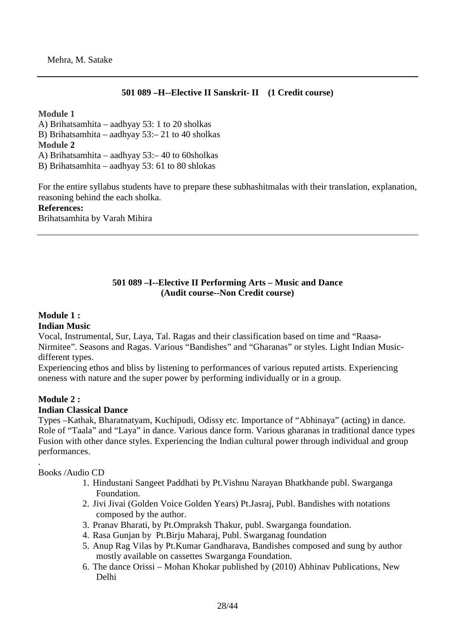# **501 089 –H--Elective II Sanskrit- II (1 Credit course)**

#### **Module 1**

A) Brihatsamhita – aadhyay 53: 1 to 20 sholkas B) Brihatsamhita – aadhyay 53:– 21 to 40 sholkas **Module 2**  A) Brihatsamhita – aadhyay 53:– 40 to 60sholkas B) Brihatsamhita – aadhyay 53: 61 to 80 shlokas

For the entire syllabus students have to prepare these subhashitmalas with their translation, explanation, reasoning behind the each sholka.

#### **References:**

Brihatsamhita by Varah Mihira

#### **501 089 –I--Elective II Performing Arts – Music and Dance (Audit course--Non Credit course)**

# **Module 1 :**

#### **Indian Music**

Vocal, Instrumental, Sur, Laya, Tal. Ragas and their classification based on time and "Raasa-Nirmitee". Seasons and Ragas. Various "Bandishes" and "Gharanas" or styles. Light Indian Musicdifferent types.

Experiencing ethos and bliss by listening to performances of various reputed artists. Experiencing oneness with nature and the super power by performing individually or in a group.

#### **Module 2 : Indian Classical Dance**

Types –Kathak, Bharatnatyam, Kuchipudi, Odissy etc. Importance of "Abhinaya" (acting) in dance. Role of "Taala" and "Laya" in dance. Various dance form. Various gharanas in traditional dance types Fusion with other dance styles. Experiencing the Indian cultural power through individual and group performances.

Books /Audio CD

.

- 1. Hindustani Sangeet Paddhati by Pt.Vishnu Narayan Bhatkhande publ. Swarganga Foundation.
- 2. Jivi Jivai (Golden Voice Golden Years) Pt.Jasraj, Publ. Bandishes with notations composed by the author.
- 3. Pranav Bharati, by Pt.Ompraksh Thakur, publ. Swarganga foundation.
- 4. Rasa Gunjan by Pt.Birju Maharaj, Publ. Swarganag foundation
- 5. Anup Rag Vilas by Pt.Kumar Gandharava, Bandishes composed and sung by author mostly available on cassettes Swarganga Foundation.
- 6. The dance Orissi Mohan Khokar published by (2010) Abhinav Publications, New Delhi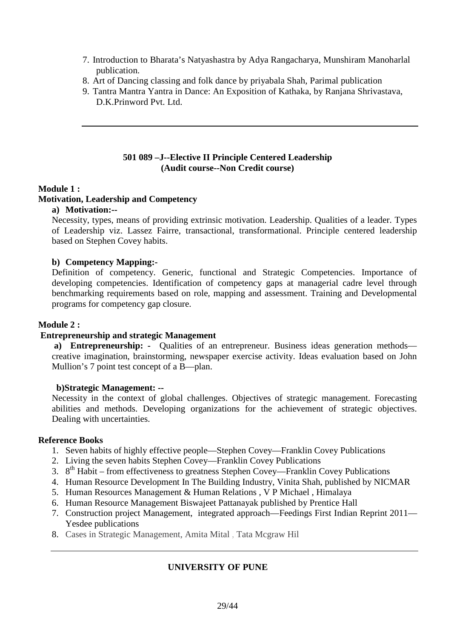- 7. Introduction to Bharata's Natyashastra by Adya Rangacharya, Munshiram Manoharlal publication.
- 8. Art of Dancing classing and folk dance by priyabala Shah, Parimal publication
- 9. Tantra Mantra Yantra in Dance: An Exposition of Kathaka, by Ranjana Shrivastava, D.K.Prinword Pvt. Ltd.

#### **501 089 –J--Elective II Principle Centered Leadership (Audit course--Non Credit course)**

## **Module 1 :**

#### **Motivation, Leadership and Competency**

#### **a) Motivation:--**

Necessity, types, means of providing extrinsic motivation. Leadership. Qualities of a leader. Types of Leadership viz. Lassez Fairre, transactional, transformational. Principle centered leadership based on Stephen Covey habits.

#### **b) Competency Mapping:-**

Definition of competency. Generic, functional and Strategic Competencies. Importance of developing competencies. Identification of competency gaps at managerial cadre level through benchmarking requirements based on role, mapping and assessment. Training and Developmental programs for competency gap closure.

#### **Module 2 :**

#### **Entrepreneurship and strategic Management**

**a)** Entrepreneurship: - Qualities of an entrepreneur. Business ideas generation methods creative imagination, brainstorming, newspaper exercise activity. Ideas evaluation based on John Mullion's 7 point test concept of a B—plan.

#### **b)Strategic Management: --**

Necessity in the context of global challenges. Objectives of strategic management. Forecasting abilities and methods. Developing organizations for the achievement of strategic objectives. Dealing with uncertainties.

#### **Reference Books**

- 1. Seven habits of highly effective people—Stephen Covey—Franklin Covey Publications
- 2. Living the seven habits Stephen Covey—Franklin Covey Publications
- 3. 8<sup>th</sup> Habit from effectiveness to greatness Stephen Covey—Franklin Covey Publications
- 4. Human Resource Development In The Building Industry, Vinita Shah, published by NICMAR
- 5. Human Resources Management & Human Relations , V P Michael , Himalaya
- 6. Human Resource Management Biswajeet Pattanayak published by Prentice Hall
- 7. Construction project Management, integrated approach—Feedings First Indian Reprint 2011— Yesdee publications
- 8. Cases in Strategic Management, Amita Mital , Tata Mcgraw Hil

## **UNIVERSITY OF PUNE**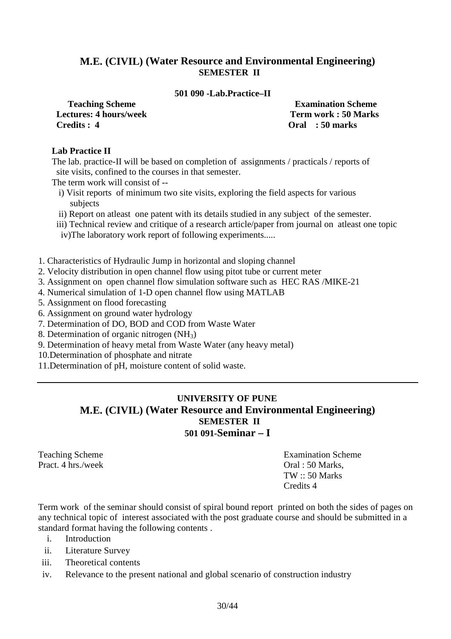# **M.E. (CIVIL) (Water Resource and Environmental Engineering) SEMESTER II**

#### **501 090 -Lab.Practice–II**

*Lectures: 4 hours/week* **Term work : 50 Marks Credits : 4 Oral : 50 marks** 

**Teaching Scheme Examination Scheme** 

#### **Lab Practice II**

The lab. practice-II will be based on completion of assignments / practicals / reports of site visits, confined to the courses in that semester.

The term work will consist of --

- i) Visit reports of minimum two site visits, exploring the field aspects for various subjects
- ii) Report on atleast one patent with its details studied in any subject of the semester.
- iii) Technical review and critique of a research article/paper from journal on atleast one topic
- iv)The laboratory work report of following experiments.....
- 1. Characteristics of Hydraulic Jump in horizontal and sloping channel
- 2. Velocity distribution in open channel flow using pitot tube or current meter
- 3. Assignment on open channel flow simulation software such as HEC RAS /MIKE-21
- 4. Numerical simulation of 1-D open channel flow using MATLAB
- 5. Assignment on flood forecasting
- 6. Assignment on ground water hydrology
- 7. Determination of DO, BOD and COD from Waste Water
- 8. Determination of organic nitrogen (NH3)
- 9. Determination of heavy metal from Waste Water (any heavy metal)
- 10.Determination of phosphate and nitrate
- 11.Determination of pH, moisture content of solid waste.

# **UNIVERSITY OF PUNE M.E. (CIVIL) (Water Resource and Environmental Engineering) SEMESTER II 501 091-Seminar – I**

Pract. 4 hrs./week **Oral : 50 Marks**,

Teaching Scheme Examination Scheme TW :: 50 Marks Credits 4

Term work of the seminar should consist of spiral bound report printed on both the sides of pages on any technical topic of interest associated with the post graduate course and should be submitted in a standard format having the following contents .

- i. Introduction
- ii. Literature Survey
- iii. Theoretical contents
- iv. Relevance to the present national and global scenario of construction industry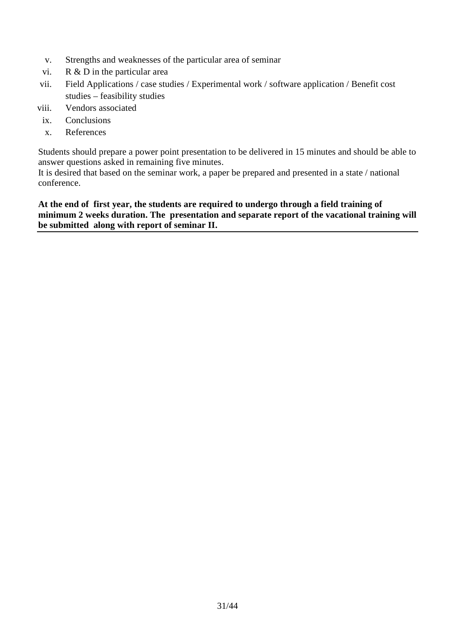- v. Strengths and weaknesses of the particular area of seminar
- vi. R & D in the particular area
- vii. Field Applications / case studies / Experimental work / software application / Benefit cost studies – feasibility studies
- viii. Vendors associated
	- ix. Conclusions
	- x. References

Students should prepare a power point presentation to be delivered in 15 minutes and should be able to answer questions asked in remaining five minutes.

It is desired that based on the seminar work, a paper be prepared and presented in a state / national conference.

**At the end of first year, the students are required to undergo through a field training of minimum 2 weeks duration. The presentation and separate report of the vacational training will be submitted along with report of seminar II.**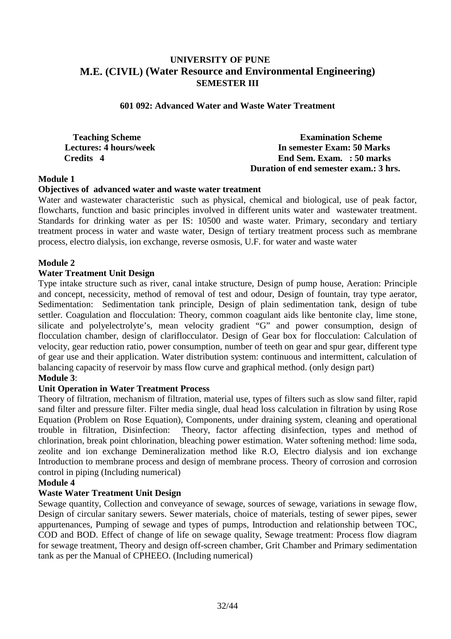# **UNIVERSITY OF PUNE M.E. (CIVIL) (Water Resource and Environmental Engineering) SEMESTER III**

**601 092: Advanced Water and Waste Water Treatment** 

**Teaching Scheme Examination Scheme Lectures: 4 hours/week In semester Exam: 50 Marks Credits 4 End Sem. Exam. : 50 marks Duration of end semester exam.: 3 hrs.** 

#### **Module 1**

#### **Objectives of advanced water and waste water treatment**

Water and wastewater characteristic such as physical, chemical and biological, use of peak factor, flowcharts, function and basic principles involved in different units water and wastewater treatment. Standards for drinking water as per IS: 10500 and waste water. Primary, secondary and tertiary treatment process in water and waste water, Design of tertiary treatment process such as membrane process, electro dialysis, ion exchange, reverse osmosis, U.F. for water and waste water

#### **Module 2**

#### **Water Treatment Unit Design**

Type intake structure such as river, canal intake structure, Design of pump house, Aeration: Principle and concept, necessicity, method of removal of test and odour, Design of fountain, tray type aerator, Sedimentation: Sedimentation tank principle, Design of plain sedimentation tank, design of tube settler. Coagulation and flocculation: Theory, common coagulant aids like bentonite clay, lime stone, silicate and polyelectrolyte's, mean velocity gradient "G" and power consumption, design of flocculation chamber, design of clariflocculator. Design of Gear box for flocculation: Calculation of velocity, gear reduction ratio, power consumption, number of teeth on gear and spur gear, different type of gear use and their application. Water distribution system: continuous and intermittent, calculation of balancing capacity of reservoir by mass flow curve and graphical method. (only design part)

# **Module 3**:

#### **Unit Operation in Water Treatment Process**

Theory of filtration, mechanism of filtration, material use, types of filters such as slow sand filter, rapid sand filter and pressure filter. Filter media single, dual head loss calculation in filtration by using Rose Equation (Problem on Rose Equation), Components, under draining system, cleaning and operational trouble in filtration, Disinfection: Theory, factor affecting disinfection, types and method of chlorination, break point chlorination, bleaching power estimation. Water softening method: lime soda, zeolite and ion exchange Demineralization method like R.O, Electro dialysis and ion exchange Introduction to membrane process and design of membrane process. Theory of corrosion and corrosion control in piping (Including numerical)

#### **Module 4**

#### **Waste Water Treatment Unit Design**

Sewage quantity, Collection and conveyance of sewage, sources of sewage, variations in sewage flow, Design of circular sanitary sewers. Sewer materials, choice of materials, testing of sewer pipes, sewer appurtenances, Pumping of sewage and types of pumps, Introduction and relationship between TOC, COD and BOD. Effect of change of life on sewage quality, Sewage treatment: Process flow diagram for sewage treatment, Theory and design off-screen chamber, Grit Chamber and Primary sedimentation tank as per the Manual of CPHEEO. (Including numerical)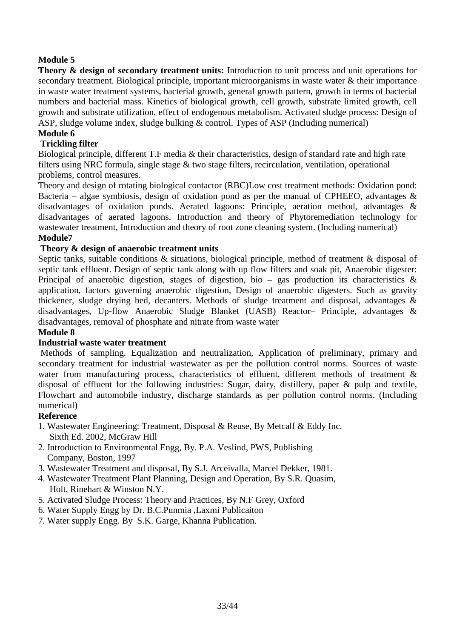# **Module 5**

**Theory & design of secondary treatment units:** Introduction to unit process and unit operations for secondary treatment. Biological principle, important microorganisms in waste water & their importance in waste water treatment systems, bacterial growth, general growth pattern, growth in terms of bacterial numbers and bacterial mass. Kinetics of biological growth, cell growth, substrate limited growth, cell growth and substrate utilization, effect of endogenous metabolism. Activated sludge process: Design of ASP, sludge volume index, sludge bulking & control. Types of ASP (Including numerical)

# **Module 6**

#### **Trickling filter**

Biological principle, different T.F media & their characteristics, design of standard rate and high rate filters using NRC formula, single stage & two stage filters, recirculation, ventilation, operational problems, control measures.

Theory and design of rotating biological contactor (RBC)Low cost treatment methods: Oxidation pond: Bacteria – algae symbiosis, design of oxidation pond as per the manual of CPHEEO, advantages  $\&$ disadvantages of oxidation ponds. Aerated lagoons: Principle, aeration method, advantages & disadvantages of aerated lagoons. Introduction and theory of Phytoremediation technology for wastewater treatment, Introduction and theory of root zone cleaning system. (Including numerical) **Module7** 

# **Theory & design of anaerobic treatment units**

Septic tanks, suitable conditions & situations, biological principle, method of treatment & disposal of septic tank effluent. Design of septic tank along with up flow filters and soak pit, Anaerobic digester: Principal of anaerobic digestion, stages of digestion, bio – gas production its characteristics  $\&$ application, factors governing anaerobic digestion, Design of anaerobic digesters. Such as gravity thickener, sludge drying bed, decanters. Methods of sludge treatment and disposal, advantages & disadvantages, Up-flow Anaerobic Sludge Blanket (UASB) Reactor– Principle, advantages & disadvantages, removal of phosphate and nitrate from waste water

# **Module 8**

#### **Industrial waste water treatment**

Methods of sampling. Equalization and neutralization, Application of preliminary, primary and secondary treatment for industrial wastewater as per the pollution control norms. Sources of waste water from manufacturing process, characteristics of effluent, different methods of treatment & disposal of effluent for the following industries: Sugar, dairy, distillery, paper & pulp and textile, Flowchart and automobile industry, discharge standards as per pollution control norms. (Including numerical)

#### **Reference**

- 1. Wastewater Engineering: Treatment, Disposal & Reuse, By Metcalf & Eddy Inc. Sixth Ed. 2002, McGraw Hill
- 2. Introduction to Environmental Engg, By. P.A. Veslind, PWS, Publishing Company, Boston, 1997
- 3. Wastewater Treatment and disposal, By S.J. Arceivalla, Marcel Dekker, 1981.
- 4. Wastewater Treatment Plant Planning, Design and Operation, By S.R. Quasim, Holt, Rinehart & Winston N.Y.
- 5. Activated Sludge Process: Theory and Practices, By N.F Grey, Oxford
- 6. Water Supply Engg by Dr. B.C.Punmia ,Laxmi Publicaiton
- 7. Water supply Engg. By S.K. Garge, Khanna Publication.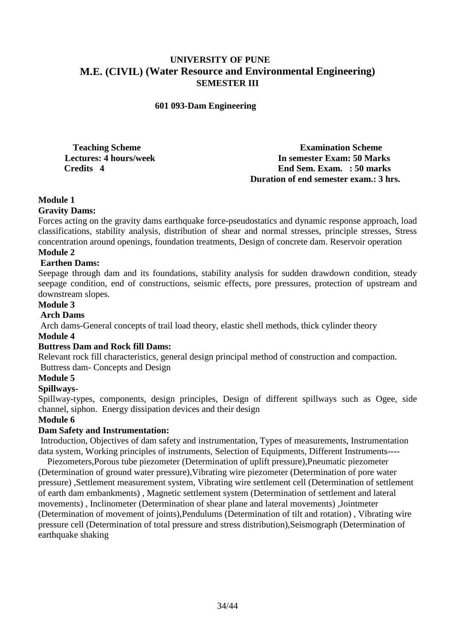# **UNIVERSITY OF PUNE M.E. (CIVIL) (Water Resource and Environmental Engineering) SEMESTER III**

#### **601 093-Dam Engineering**

Teaching Scheme **Examination Scheme**<br>
Lectures: 4 hours/week **Examination Scheme**<br>
In semester Exam: 50 Mark **Lecture Exam: 50 Marks Credits 4 End Sem. Exam. : 50 marks Duration of end semester exam.: 3 hrs.** 

# **Module 1**

#### **Gravity Dams:**

Forces acting on the gravity dams earthquake force-pseudostatics and dynamic response approach, load classifications, stability analysis, distribution of shear and normal stresses, principle stresses, Stress concentration around openings, foundation treatments, Design of concrete dam. Reservoir operation

# **Module 2**

# **Earthen Dams:**

Seepage through dam and its foundations, stability analysis for sudden drawdown condition, steady seepage condition, end of constructions, seismic effects, pore pressures, protection of upstream and downstream slopes.

## **Module 3**

#### **Arch Dams**

Arch dams-General concepts of trail load theory, elastic shell methods, thick cylinder theory

#### **Module 4**

#### **Buttress Dam and Rock fill Dams:**

Relevant rock fill characteristics, general design principal method of construction and compaction. Buttress dam- Concepts and Design

#### **Module 5**

#### **Spillways-**

Spillway-types, components, design principles, Design of different spillways such as Ogee, side channel, siphon. Energy dissipation devices and their design

#### **Module 6**

#### **Dam Safety and Instrumentation:**

 Introduction, Objectives of dam safety and instrumentation, Types of measurements, Instrumentation data system, Working principles of instruments, Selection of Equipments, Different Instruments----

 Piezometers,Porous tube piezometer (Determination of uplift pressure),Pneumatic piezometer (Determination of ground water pressure),Vibrating wire piezometer (Determination of pore water pressure) ,Settlement measurement system, Vibrating wire settlement cell (Determination of settlement of earth dam embankments) , Magnetic settlement system (Determination of settlement and lateral movements) , Inclinometer (Determination of shear plane and lateral movements) ,Jointmeter (Determination of movement of joints),Pendulums (Determination of tilt and rotation) , Vibrating wire pressure cell (Determination of total pressure and stress distribution),Seismograph (Determination of earthquake shaking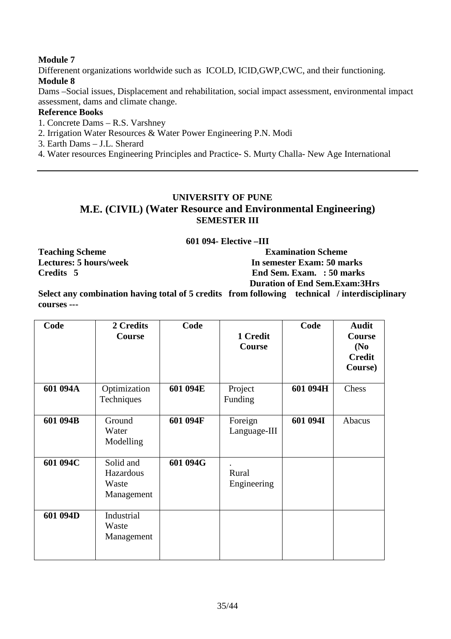# **Module 7**

Differenent organizations worldwide such as ICOLD, ICID,GWP,CWC, and their functioning.

# **Module 8**

Dams –Social issues, Displacement and rehabilitation, social impact assessment, environmental impact assessment, dams and climate change.

# **Reference Books**

- 1. Concrete Dams R.S. Varshney
- 2. Irrigation Water Resources & Water Power Engineering P.N. Modi
- 3. Earth Dams J.L. Sherard
- 4. Water resources Engineering Principles and Practice- S. Murty Challa- New Age International

# **UNIVERSITY OF PUNE M.E. (CIVIL) (Water Resource and Environmental Engineering) SEMESTER III**

**601 094- Elective –III** 

**Teaching Scheme Examination Scheme Lectures: 5 hours/week In semester Exam: 50 marks Credits 5 End Sem. Exam. : 50 marks Duration of End Sem.Exam:3Hrs** 

**Select any combination having total of 5 credits from following technical / interdisciplinary courses ---** 

| Code     | 2 Credits<br><b>Course</b>                    | Code     | 1 Credit<br>Course      | Code     | <b>Audit</b><br><b>Course</b><br>(N <sub>0</sub> )<br><b>Credit</b><br>Course) |
|----------|-----------------------------------------------|----------|-------------------------|----------|--------------------------------------------------------------------------------|
| 601 094A | Optimization<br>Techniques                    | 601 094E | Project<br>Funding      | 601 094H | Chess                                                                          |
| 601 094B | Ground<br>Water<br>Modelling                  | 601 094F | Foreign<br>Language-III | 601 094I | Abacus                                                                         |
| 601 094C | Solid and<br>Hazardous<br>Waste<br>Management | 601 094G | Rural<br>Engineering    |          |                                                                                |
| 601 094D | Industrial<br>Waste<br>Management             |          |                         |          |                                                                                |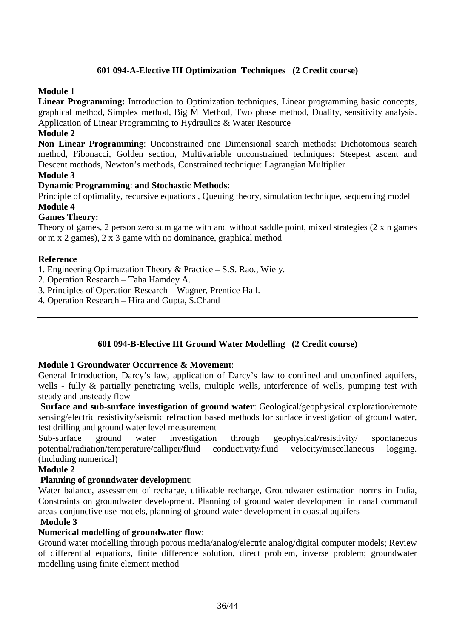## **601 094-A-Elective III Optimization Techniques (2 Credit course)**

#### **Module 1**

**Linear Programming:** Introduction to Optimization techniques, Linear programming basic concepts, graphical method, Simplex method, Big M Method, Two phase method, Duality, sensitivity analysis. Application of Linear Programming to Hydraulics & Water Resource

#### **Module 2**

**Non Linear Programming**: Unconstrained one Dimensional search methods: Dichotomous search method, Fibonacci, Golden section, Multivariable unconstrained techniques: Steepest ascent and Descent methods, Newton's methods, Constrained technique: Lagrangian Multiplier **Module 3** 

# **Dynamic Programming**: **and Stochastic Methods**:

Principle of optimality, recursive equations , Queuing theory, simulation technique, sequencing model **Module 4** 

#### **Games Theory:**

Theory of games, 2 person zero sum game with and without saddle point, mixed strategies (2 x n games or m x 2 games), 2 x 3 game with no dominance, graphical method

#### **Reference**

1. Engineering Optimazation Theory & Practice – S.S. Rao., Wiely.

- 2. Operation Research Taha Hamdey A.
- 3. Principles of Operation Research Wagner, Prentice Hall.
- 4. Operation Research Hira and Gupta, S.Chand

## **601 094-B-Elective III Ground Water Modelling (2 Credit course)**

#### **Module 1 Groundwater Occurrence & Movement**:

General Introduction, Darcy's law, application of Darcy's law to confined and unconfined aquifers, wells - fully & partially penetrating wells, multiple wells, interference of wells, pumping test with steady and unsteady flow

 **Surface and sub-surface investigation of ground water**: Geological/geophysical exploration/remote sensing/electric resistivity/seismic refraction based methods for surface investigation of ground water, test drilling and ground water level measurement

Sub-surface ground water investigation through geophysical/resistivity/ spontaneous potential/radiation/temperature/calliper/fluid conductivity/fluid velocity/miscellaneous logging. (Including numerical)

#### **Module 2**

#### **Planning of groundwater development**:

Water balance, assessment of recharge, utilizable recharge, Groundwater estimation norms in India, Constraints on groundwater development. Planning of ground water development in canal command areas-conjunctive use models, planning of ground water development in coastal aquifers

#### **Module 3**

#### **Numerical modelling of groundwater flow**:

Ground water modelling through porous media/analog/electric analog/digital computer models; Review of differential equations, finite difference solution, direct problem, inverse problem; groundwater modelling using finite element method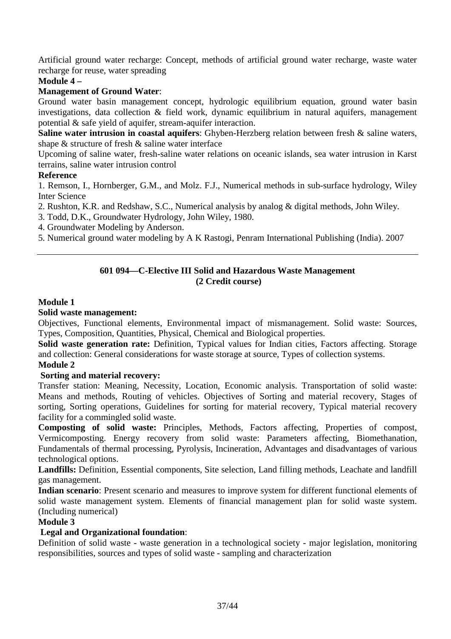Artificial ground water recharge: Concept, methods of artificial ground water recharge, waste water recharge for reuse, water spreading

# **Module 4 –**

#### **Management of Ground Water**:

Ground water basin management concept, hydrologic equilibrium equation, ground water basin investigations, data collection  $\&$  field work, dynamic equilibrium in natural aquifers, management potential & safe yield of aquifer, stream-aquifer interaction.

**Saline water intrusion in coastal aquifers**: Ghyben-Herzberg relation between fresh & saline waters, shape & structure of fresh & saline water interface

Upcoming of saline water, fresh-saline water relations on oceanic islands, sea water intrusion in Karst terrains, saline water intrusion control

#### **Reference**

1. Remson, I., Hornberger, G.M., and Molz. F.J., Numerical methods in sub-surface hydrology, Wiley Inter Science

2. Rushton, K.R. and Redshaw, S.C., Numerical analysis by analog & digital methods, John Wiley.

3. Todd, D.K., Groundwater Hydrology, John Wiley, 1980.

4. Groundwater Modeling by Anderson.

5. Numerical ground water modeling by A K Rastogi, Penram International Publishing (India). 2007

# **601 094—C-Elective III Solid and Hazardous Waste Management (2 Credit course)**

#### **Module 1**

#### **Solid waste management:**

Objectives, Functional elements, Environmental impact of mismanagement. Solid waste: Sources, Types, Composition, Quantities, Physical, Chemical and Biological properties.

**Solid waste generation rate:** Definition, Typical values for Indian cities, Factors affecting. Storage and collection: General considerations for waste storage at source, Types of collection systems.

#### **Module 2**

#### **Sorting and material recovery:**

Transfer station: Meaning, Necessity, Location, Economic analysis. Transportation of solid waste: Means and methods, Routing of vehicles. Objectives of Sorting and material recovery, Stages of sorting, Sorting operations, Guidelines for sorting for material recovery, Typical material recovery facility for a commingled solid waste.

**Composting of solid waste:** Principles, Methods, Factors affecting, Properties of compost, Vermicomposting. Energy recovery from solid waste: Parameters affecting, Biomethanation, Fundamentals of thermal processing, Pyrolysis, Incineration, Advantages and disadvantages of various technological options.

**Landfills:** Definition, Essential components, Site selection, Land filling methods, Leachate and landfill gas management.

**Indian scenario**: Present scenario and measures to improve system for different functional elements of solid waste management system. Elements of financial management plan for solid waste system. (Including numerical)

#### **Module 3**

## **Legal and Organizational foundation**:

Definition of solid waste - waste generation in a technological society - major legislation, monitoring responsibilities, sources and types of solid waste - sampling and characterization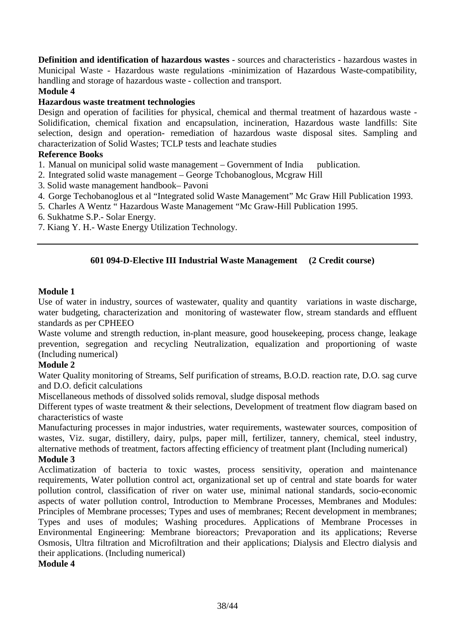**Definition and identification of hazardous wastes** - sources and characteristics - hazardous wastes in Municipal Waste - Hazardous waste regulations -minimization of Hazardous Waste-compatibility, handling and storage of hazardous waste - collection and transport.

# **Module 4**

#### **Hazardous waste treatment technologies**

Design and operation of facilities for physical, chemical and thermal treatment of hazardous waste - Solidification, chemical fixation and encapsulation, incineration, Hazardous waste landfills: Site selection, design and operation- remediation of hazardous waste disposal sites. Sampling and characterization of Solid Wastes; TCLP tests and leachate studies

#### **Reference Books**

- 1. Manual on municipal solid waste management Government of India publication.
- 2. Integrated solid waste management George Tchobanoglous, Mcgraw Hill
- 3. Solid waste management handbook– Pavoni
- 4. Gorge Techobanoglous et al "Integrated solid Waste Management" Mc Graw Hill Publication 1993.
- 5. Charles A Wentz " Hazardous Waste Management "Mc Graw-Hill Publication 1995.
- 6. Sukhatme S.P.- Solar Energy.
- 7. Kiang Y. H.- Waste Energy Utilization Technology.

#### **601 094-D-Elective III Industrial Waste Management (2 Credit course)**

#### **Module 1**

Use of water in industry, sources of wastewater, quality and quantity variations in waste discharge, water budgeting, characterization and monitoring of wastewater flow, stream standards and effluent standards as per CPHEEO

Waste volume and strength reduction, in-plant measure, good housekeeping, process change, leakage prevention, segregation and recycling Neutralization, equalization and proportioning of waste (Including numerical)

#### **Module 2**

Water Quality monitoring of Streams, Self purification of streams, B.O.D. reaction rate, D.O. sag curve and D.O. deficit calculations

Miscellaneous methods of dissolved solids removal, sludge disposal methods

Different types of waste treatment & their selections, Development of treatment flow diagram based on characteristics of waste

Manufacturing processes in major industries, water requirements, wastewater sources, composition of wastes, Viz. sugar, distillery, dairy, pulps, paper mill, fertilizer, tannery, chemical, steel industry, alternative methods of treatment, factors affecting efficiency of treatment plant (Including numerical)

#### **Module 3**

Acclimatization of bacteria to toxic wastes, process sensitivity, operation and maintenance requirements, Water pollution control act, organizational set up of central and state boards for water pollution control, classification of river on water use, minimal national standards, socio-economic aspects of water pollution control, Introduction to Membrane Processes, Membranes and Modules: Principles of Membrane processes; Types and uses of membranes; Recent development in membranes; Types and uses of modules; Washing procedures. Applications of Membrane Processes in Environmental Engineering: Membrane bioreactors; Prevaporation and its applications; Reverse Osmosis, Ultra filtration and Microfiltration and their applications; Dialysis and Electro dialysis and their applications. (Including numerical)

**Module 4**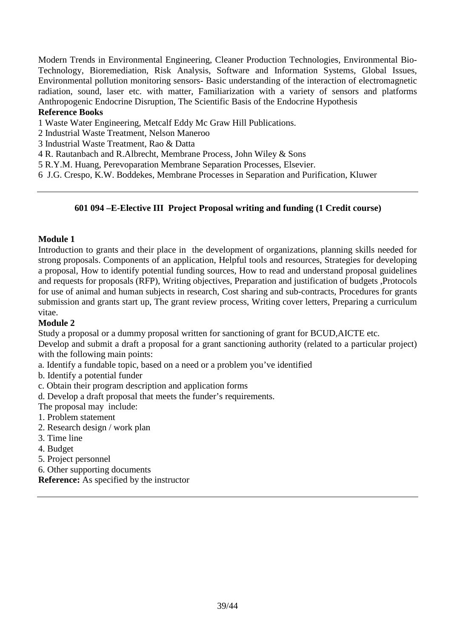Modern Trends in Environmental Engineering, Cleaner Production Technologies, Environmental Bio-Technology, Bioremediation, Risk Analysis, Software and Information Systems, Global Issues, Environmental pollution monitoring sensors- Basic understanding of the interaction of electromagnetic radiation, sound, laser etc. with matter, Familiarization with a variety of sensors and platforms Anthropogenic Endocrine Disruption, The Scientific Basis of the Endocrine Hypothesis

# **Reference Books**

1 Waste Water Engineering, Metcalf Eddy Mc Graw Hill Publications.

- 2 Industrial Waste Treatment, Nelson Maneroo
- 3 Industrial Waste Treatment, Rao & Datta
- 4 R. Rautanbach and R.Albrecht, Membrane Process, John Wiley & Sons
- 5 R.Y.M. Huang, Perevoparation Membrane Separation Processes, Elsevier.

6 J.G. Crespo, K.W. Boddekes, Membrane Processes in Separation and Purification, Kluwer

## **601 094 –E-Elective III Project Proposal writing and funding (1 Credit course)**

## **Module 1**

Introduction to grants and their place in the development of organizations, planning skills needed for strong proposals. Components of an application, Helpful tools and resources, Strategies for developing a proposal, How to identify potential funding sources, How to read and understand proposal guidelines and requests for proposals (RFP), Writing objectives, Preparation and justification of budgets ,Protocols for use of animal and human subjects in research, Cost sharing and sub-contracts, Procedures for grants submission and grants start up, The grant review process, Writing cover letters, Preparing a curriculum vitae.

## **Module 2**

Study a proposal or a dummy proposal written for sanctioning of grant for BCUD,AICTE etc.

Develop and submit a draft a proposal for a grant sanctioning authority (related to a particular project) with the following main points:

- a. Identify a fundable topic, based on a need or a problem you've identified
- b. Identify a potential funder
- c. Obtain their program description and application forms
- d. Develop a draft proposal that meets the funder's requirements.

The proposal may include:

- 1. Problem statement
- 2. Research design / work plan
- 3. Time line
- 4. Budget
- 5. Project personnel
- 6. Other supporting documents

**Reference:** As specified by the instructor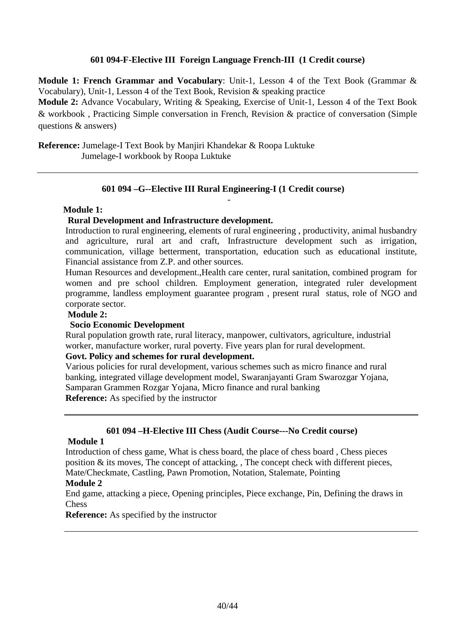#### **601 094-F-Elective III Foreign Language French-III (1 Credit course)**

**Module 1: French Grammar and Vocabulary**: Unit-1, Lesson 4 of the Text Book (Grammar & Vocabulary), Unit-1, Lesson 4 of the Text Book, Revision & speaking practice **Module 2:** Advance Vocabulary, Writing & Speaking, Exercise of Unit-1, Lesson 4 of the Text Book & workbook , Practicing Simple conversation in French, Revision & practice of conversation (Simple questions & answers)

**Reference:** Jumelage-I Text Book by Manjiri Khandekar & Roopa Luktuke Jumelage-I workbook by Roopa Luktuke

#### **601 094 –G--Elective III Rural Engineering-I (1 Credit course)**

-

#### **Module 1:**

#### **Rural Development and Infrastructure development.**

Introduction to rural engineering, elements of rural engineering , productivity, animal husbandry and agriculture, rural art and craft, Infrastructure development such as irrigation, communication, village betterment, transportation, education such as educational institute, Financial assistance from Z.P. and other sources.

Human Resources and development.,Health care center, rural sanitation, combined program for women and pre school children. Employment generation, integrated ruler development programme, landless employment guarantee program , present rural status, role of NGO and corporate sector.

#### **Module 2:**

#### **Socio Economic Development**

Rural population growth rate, rural literacy, manpower, cultivators, agriculture, industrial worker, manufacture worker, rural poverty. Five years plan for rural development.

#### **Govt. Policy and schemes for rural development.**

Various policies for rural development, various schemes such as micro finance and rural banking, integrated village development model, Swaranjayanti Gram Swarozgar Yojana, Samparan Grammen Rozgar Yojana, Micro finance and rural banking **Reference:** As specified by the instructor

#### **601 094 –H-Elective III Chess (Audit Course---No Credit course)**

#### **Module 1**

Introduction of chess game, What is chess board, the place of chess board , Chess pieces position & its moves, The concept of attacking, , The concept check with different pieces, Mate/Checkmate, Castling, Pawn Promotion, Notation, Stalemate, Pointing

#### **Module 2**

End game, attacking a piece, Opening principles, Piece exchange, Pin, Defining the draws in **Chess** 

**Reference:** As specified by the instructor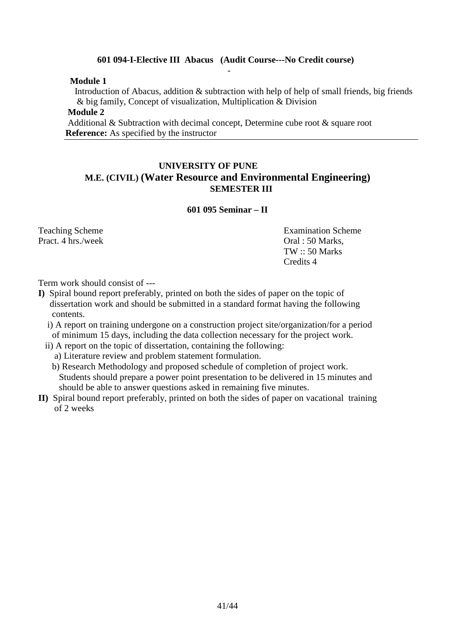#### **601 094-I-Elective III Abacus (Audit Course---No Credit course)** -

#### **Module 1**

 Introduction of Abacus, addition & subtraction with help of help of small friends, big friends & big family, Concept of visualization, Multiplication & Division

 **Module 2** 

Additional & Subtraction with decimal concept, Determine cube root & square root **Reference:** As specified by the instructor

# **UNIVERSITY OF PUNE M.E. (CIVIL) (Water Resource and Environmental Engineering) SEMESTER III**

#### **601 095 Seminar – II**

Pract. 4 hrs./week Oral : 50 Marks,

Teaching Scheme **Examination** Scheme TW :: 50 Marks Credits 4

Term work should consist of ---

- **I)** Spiral bound report preferably, printed on both the sides of paper on the topic of dissertation work and should be submitted in a standard format having the following contents.
	- i) A report on training undergone on a construction project site/organization/for a period of minimum 15 days, including the data collection necessary for the project work.
	- ii) A report on the topic of dissertation, containing the following:
	- a) Literature review and problem statement formulation.
	- b) Research Methodology and proposed schedule of completion of project work. Students should prepare a power point presentation to be delivered in 15 minutes and should be able to answer questions asked in remaining five minutes.
- **II)** Spiral bound report preferably, printed on both the sides of paper on vacational training of 2 weeks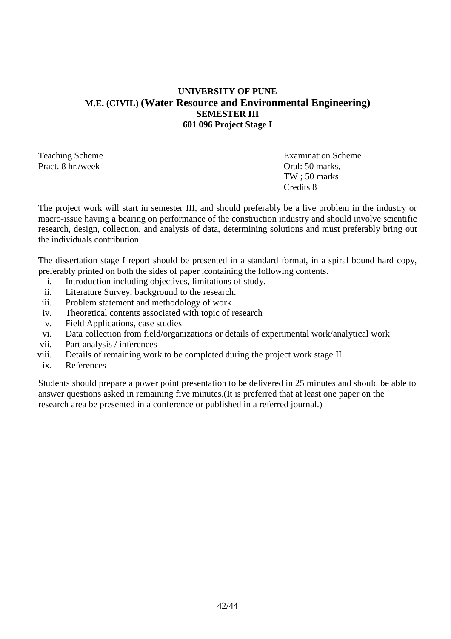# **UNIVERSITY OF PUNE M.E. (CIVIL) (Water Resource and Environmental Engineering) SEMESTER III 601 096 Project Stage I**

Pract. 8 hr./week Oral: 50 marks,

Teaching Scheme **Examination** Scheme TW ; 50 marks Credits 8

The project work will start in semester III, and should preferably be a live problem in the industry or macro-issue having a bearing on performance of the construction industry and should involve scientific research, design, collection, and analysis of data, determining solutions and must preferably bring out the individuals contribution.

The dissertation stage I report should be presented in a standard format, in a spiral bound hard copy, preferably printed on both the sides of paper ,containing the following contents.

- i. Introduction including objectives, limitations of study.
- ii. Literature Survey, background to the research.
- iii. Problem statement and methodology of work
- iv. Theoretical contents associated with topic of research
- v. Field Applications, case studies
- vi. Data collection from field/organizations or details of experimental work/analytical work
- vii. Part analysis / inferences
- viii. Details of remaining work to be completed during the project work stage II
- ix. References

Students should prepare a power point presentation to be delivered in 25 minutes and should be able to answer questions asked in remaining five minutes.(It is preferred that at least one paper on the research area be presented in a conference or published in a referred journal.)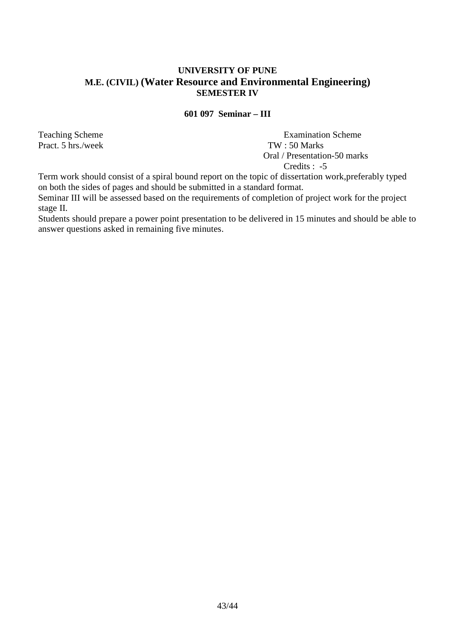# **UNIVERSITY OF PUNE M.E. (CIVIL) (Water Resource and Environmental Engineering) SEMESTER IV**

# **601 097 Seminar – III**

Pract. 5 hrs./week TW : 50 Marks

Teaching Scheme **Examination** Scheme **Examination** Scheme Oral / Presentation-50 marks Credits : -5

Term work should consist of a spiral bound report on the topic of dissertation work,preferably typed on both the sides of pages and should be submitted in a standard format.

Seminar III will be assessed based on the requirements of completion of project work for the project stage II.

Students should prepare a power point presentation to be delivered in 15 minutes and should be able to answer questions asked in remaining five minutes.